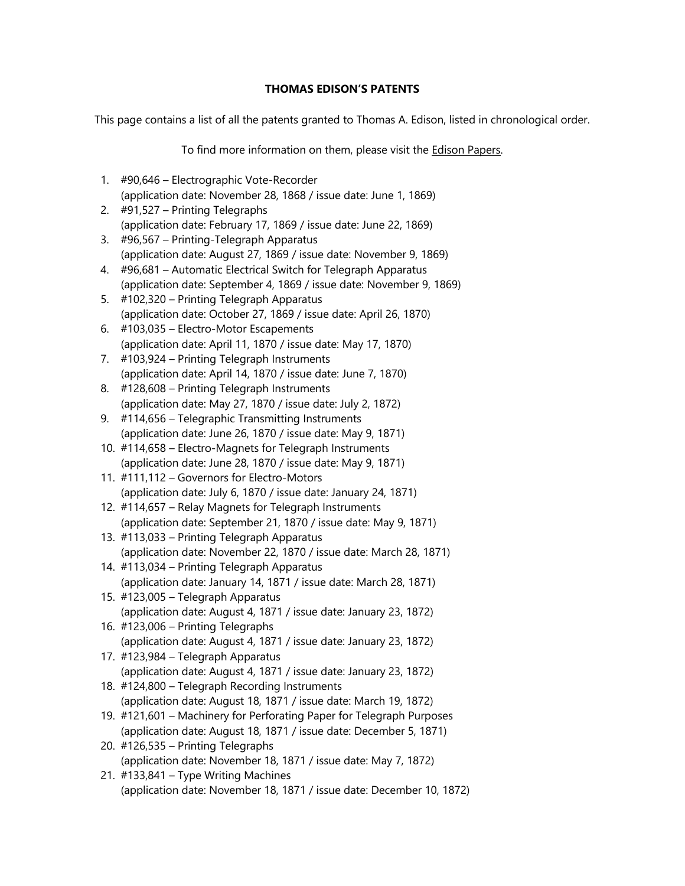## **THOMAS EDISON'S PATENTS**

This page contains a list of all the patents granted to Thomas A. Edison, listed in chronological order.

To find more information on them, please visit the Edison Papers.

- 1. #90,646 Electrographic Vote-Recorder (application date: November 28, 1868 / issue date: June 1, 1869)
- 2. #91,527 Printing Telegraphs (application date: February 17, 1869 / issue date: June 22, 1869)
- 3. #96,567 Printing-Telegraph Apparatus (application date: August 27, 1869 / issue date: November 9, 1869)
- 4. #96,681 Automatic Electrical Switch for Telegraph Apparatus (application date: September 4, 1869 / issue date: November 9, 1869)
- 5. #102,320 Printing Telegraph Apparatus (application date: October 27, 1869 / issue date: April 26, 1870)
- 6. #103,035 Electro-Motor Escapements (application date: April 11, 1870 / issue date: May 17, 1870)
- 7. #103,924 Printing Telegraph Instruments (application date: April 14, 1870 / issue date: June 7, 1870)
- 8. #128,608 Printing Telegraph Instruments (application date: May 27, 1870 / issue date: July 2, 1872)
- 9. #114,656 Telegraphic Transmitting Instruments (application date: June 26, 1870 / issue date: May 9, 1871)
- 10. #114,658 Electro-Magnets for Telegraph Instruments (application date: June 28, 1870 / issue date: May 9, 1871)
- 11. #111,112 Governors for Electro-Motors (application date: July 6, 1870 / issue date: January 24, 1871)
- 12. #114,657 Relay Magnets for Telegraph Instruments (application date: September 21, 1870 / issue date: May 9, 1871)
- 13. #113,033 Printing Telegraph Apparatus (application date: November 22, 1870 / issue date: March 28, 1871)
- 14. #113,034 Printing Telegraph Apparatus (application date: January 14, 1871 / issue date: March 28, 1871)
- 15. #123,005 Telegraph Apparatus (application date: August 4, 1871 / issue date: January 23, 1872)
- 16. #123,006 Printing Telegraphs (application date: August 4, 1871 / issue date: January 23, 1872)
- 17. #123,984 Telegraph Apparatus (application date: August 4, 1871 / issue date: January 23, 1872)
- 18. #124,800 Telegraph Recording Instruments (application date: August 18, 1871 / issue date: March 19, 1872)
- 19. #121,601 Machinery for Perforating Paper for Telegraph Purposes (application date: August 18, 1871 / issue date: December 5, 1871)
- 20. #126,535 Printing Telegraphs (application date: November 18, 1871 / issue date: May 7, 1872)
- 21. #133,841 Type Writing Machines (application date: November 18, 1871 / issue date: December 10, 1872)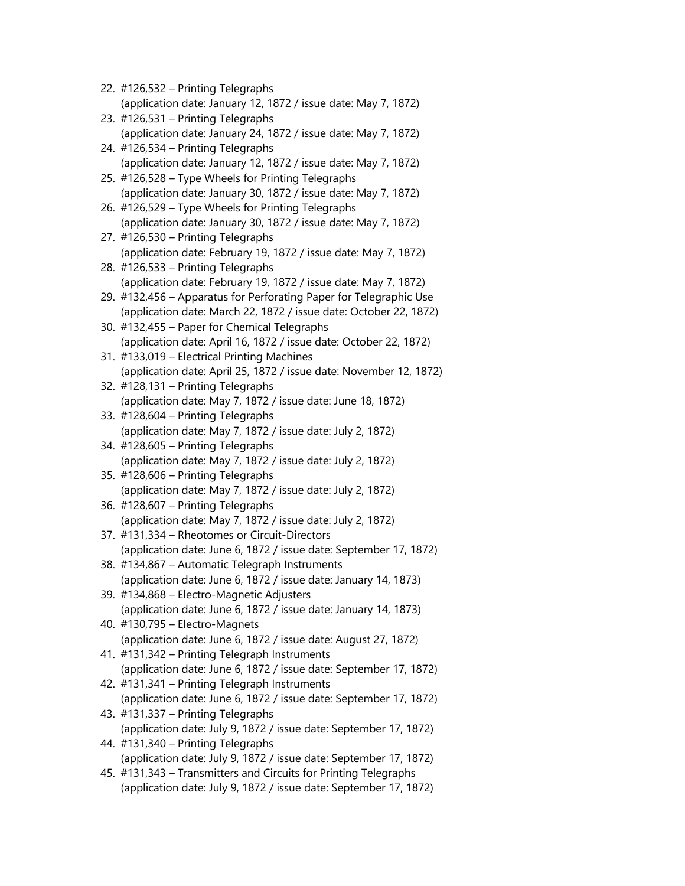| 22. #126,532 - Printing Telegraphs                                                                          |
|-------------------------------------------------------------------------------------------------------------|
| (application date: January 12, 1872 / issue date: May 7, 1872)<br>23. #126,531 - Printing Telegraphs        |
| (application date: January 24, 1872 / issue date: May 7, 1872)                                              |
| 24. #126,534 - Printing Telegraphs                                                                          |
| (application date: January 12, 1872 / issue date: May 7, 1872)                                              |
| 25. #126,528 - Type Wheels for Printing Telegraphs                                                          |
| (application date: January 30, 1872 / issue date: May 7, 1872)                                              |
| 26. #126,529 - Type Wheels for Printing Telegraphs                                                          |
| (application date: January 30, 1872 / issue date: May 7, 1872)                                              |
| 27. #126,530 - Printing Telegraphs                                                                          |
| (application date: February 19, 1872 / issue date: May 7, 1872)                                             |
| 28. #126,533 - Printing Telegraphs<br>(application date: February 19, 1872 / issue date: May 7, 1872)       |
| 29. #132,456 - Apparatus for Perforating Paper for Telegraphic Use                                          |
| (application date: March 22, 1872 / issue date: October 22, 1872)                                           |
| 30. #132,455 - Paper for Chemical Telegraphs                                                                |
| (application date: April 16, 1872 / issue date: October 22, 1872)                                           |
| 31. #133,019 - Electrical Printing Machines                                                                 |
| (application date: April 25, 1872 / issue date: November 12, 1872)                                          |
| 32. #128,131 - Printing Telegraphs                                                                          |
| (application date: May 7, 1872 / issue date: June 18, 1872)                                                 |
| 33. #128,604 - Printing Telegraphs                                                                          |
| (application date: May 7, 1872 / issue date: July 2, 1872)                                                  |
| 34. #128,605 - Printing Telegraphs                                                                          |
| (application date: May 7, 1872 / issue date: July 2, 1872)                                                  |
| 35. #128,606 - Printing Telegraphs                                                                          |
| (application date: May 7, 1872 / issue date: July 2, 1872)                                                  |
| 36. #128,607 - Printing Telegraphs                                                                          |
| (application date: May 7, 1872 / issue date: July 2, 1872)<br>37. #131,334 - Rheotomes or Circuit-Directors |
| (application date: June 6, 1872 / issue date: September 17, 1872)                                           |
| 38. #134,867 - Automatic Telegraph Instruments                                                              |
| (application date: June 6, 1872 / issue date: January 14, 1873)                                             |
| 39. #134,868 - Electro-Magnetic Adjusters                                                                   |
| (application date: June 6, 1872 / issue date: January 14, 1873)                                             |
| 40. #130,795 - Electro-Magnets                                                                              |
| (application date: June 6, 1872 / issue date: August 27, 1872)                                              |
| 41. #131,342 - Printing Telegraph Instruments                                                               |
| (application date: June 6, 1872 / issue date: September 17, 1872)                                           |
| 42. #131,341 - Printing Telegraph Instruments                                                               |
| (application date: June 6, 1872 / issue date: September 17, 1872)                                           |
| 43. #131,337 - Printing Telegraphs                                                                          |
| (application date: July 9, 1872 / issue date: September 17, 1872)                                           |
| 44. #131,340 - Printing Telegraphs                                                                          |
| (application date: July 9, 1872 / issue date: September 17, 1872)                                           |
| 45. #131,343 - Transmitters and Circuits for Printing Telegraphs                                            |
| (application date: July 9, 1872 / issue date: September 17, 1872)                                           |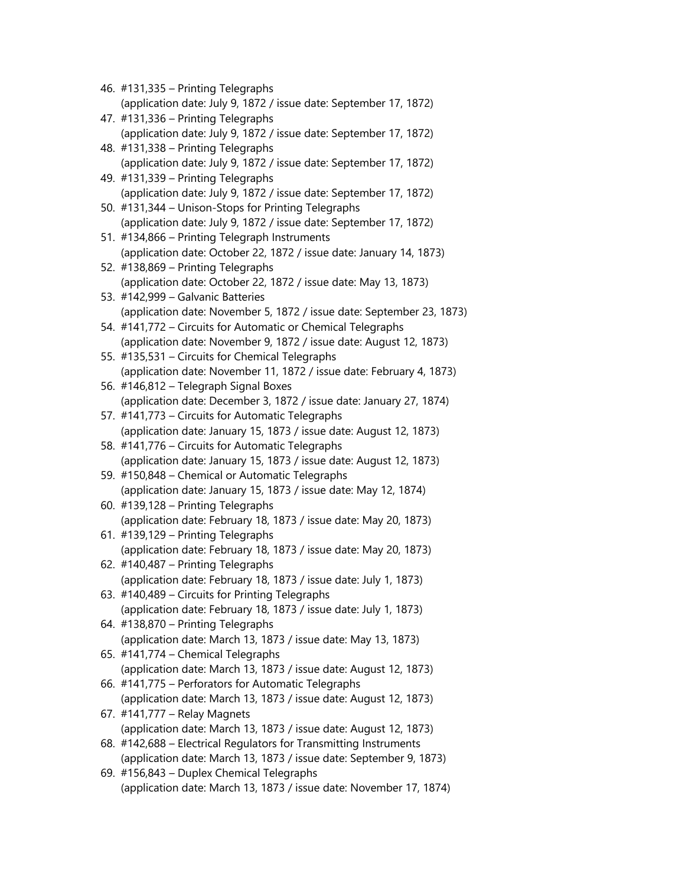| 46. #131,335 - Printing Telegraphs                                    |
|-----------------------------------------------------------------------|
| (application date: July 9, 1872 / issue date: September 17, 1872)     |
| 47. #131,336 - Printing Telegraphs                                    |
| (application date: July 9, 1872 / issue date: September 17, 1872)     |
| 48. #131,338 - Printing Telegraphs                                    |
| (application date: July 9, 1872 / issue date: September 17, 1872)     |
| 49. #131,339 - Printing Telegraphs                                    |
| (application date: July 9, 1872 / issue date: September 17, 1872)     |
| 50. #131,344 - Unison-Stops for Printing Telegraphs                   |
| (application date: July 9, 1872 / issue date: September 17, 1872)     |
| 51. #134,866 - Printing Telegraph Instruments                         |
| (application date: October 22, 1872 / issue date: January 14, 1873)   |
| 52. #138,869 - Printing Telegraphs                                    |
| (application date: October 22, 1872 / issue date: May 13, 1873)       |
| 53. #142,999 - Galvanic Batteries                                     |
| (application date: November 5, 1872 / issue date: September 23, 1873) |
| 54. #141,772 - Circuits for Automatic or Chemical Telegraphs          |
| (application date: November 9, 1872 / issue date: August 12, 1873)    |
| 55. #135,531 - Circuits for Chemical Telegraphs                       |
| (application date: November 11, 1872 / issue date: February 4, 1873)  |
| 56. #146,812 - Telegraph Signal Boxes                                 |
| (application date: December 3, 1872 / issue date: January 27, 1874)   |
| 57. #141,773 - Circuits for Automatic Telegraphs                      |
| (application date: January 15, 1873 / issue date: August 12, 1873)    |
| 58. #141,776 - Circuits for Automatic Telegraphs                      |
| (application date: January 15, 1873 / issue date: August 12, 1873)    |
| 59. #150,848 - Chemical or Automatic Telegraphs                       |
| (application date: January 15, 1873 / issue date: May 12, 1874)       |
| 60. #139,128 - Printing Telegraphs                                    |
| (application date: February 18, 1873 / issue date: May 20, 1873)      |
| 61. #139,129 - Printing Telegraphs                                    |
| (application date: February 18, 1873 / issue date: May 20, 1873)      |
| 62. #140,487 - Printing Telegraphs                                    |
| (application date: February 18, 1873 / issue date: July 1, 1873)      |
| 63. #140,489 – Circuits for Printing Telegraphs                       |
| (application date: February 18, 1873 / issue date: July 1, 1873)      |
| 64. #138,870 - Printing Telegraphs                                    |
| (application date: March 13, 1873 / issue date: May 13, 1873)         |
| 65. #141,774 - Chemical Telegraphs                                    |
| (application date: March 13, 1873 / issue date: August 12, 1873)      |
| 66. #141,775 - Perforators for Automatic Telegraphs                   |
| (application date: March 13, 1873 / issue date: August 12, 1873)      |
| 67. #141,777 - Relay Magnets                                          |
| (application date: March 13, 1873 / issue date: August 12, 1873)      |
| 68. #142,688 – Electrical Regulators for Transmitting Instruments     |
| (application date: March 13, 1873 / issue date: September 9, 1873)    |
| 69. #156,843 - Duplex Chemical Telegraphs                             |
| (application date: March 13, 1873 / issue date: November 17, 1874)    |
|                                                                       |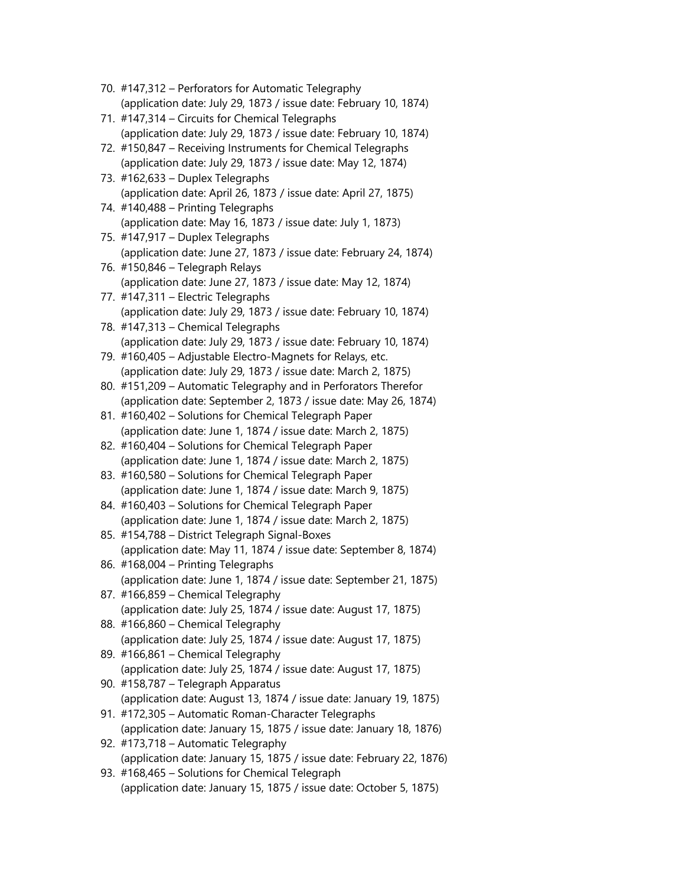- 70. #147,312 Perforators for Automatic Telegraphy (application date: July 29, 1873 / issue date: February 10, 1874)
- 71. #147,314 Circuits for Chemical Telegraphs (application date: July 29, 1873 / issue date: February 10, 1874)
- 72. #150,847 Receiving Instruments for Chemical Telegraphs (application date: July 29, 1873 / issue date: May 12, 1874)
- 73. #162,633 Duplex Telegraphs (application date: April 26, 1873 / issue date: April 27, 1875)
- 74. #140,488 Printing Telegraphs (application date: May 16, 1873 / issue date: July 1, 1873)
- 75. #147,917 Duplex Telegraphs (application date: June 27, 1873 / issue date: February 24, 1874)
- 76. #150,846 Telegraph Relays (application date: June 27, 1873 / issue date: May 12, 1874)
- 77. #147,311 Electric Telegraphs (application date: July 29, 1873 / issue date: February 10, 1874)
- 78. #147,313 Chemical Telegraphs (application date: July 29, 1873 / issue date: February 10, 1874)
- 79. #160,405 Adjustable Electro-Magnets for Relays, etc. (application date: July 29, 1873 / issue date: March 2, 1875)
- 80. #151,209 Automatic Telegraphy and in Perforators Therefor (application date: September 2, 1873 / issue date: May 26, 1874)
- 81. #160,402 Solutions for Chemical Telegraph Paper (application date: June 1, 1874 / issue date: March 2, 1875)
- 82. #160,404 Solutions for Chemical Telegraph Paper (application date: June 1, 1874 / issue date: March 2, 1875)
- 83. #160,580 Solutions for Chemical Telegraph Paper (application date: June 1, 1874 / issue date: March 9, 1875)
- 84. #160,403 Solutions for Chemical Telegraph Paper (application date: June 1, 1874 / issue date: March 2, 1875)
- 85. #154,788 District Telegraph Signal-Boxes (application date: May 11, 1874 / issue date: September 8, 1874)
- 86. #168,004 Printing Telegraphs (application date: June 1, 1874 / issue date: September 21, 1875)
- 87. #166,859 Chemical Telegraphy (application date: July 25, 1874 / issue date: August 17, 1875)
- 88. #166,860 Chemical Telegraphy (application date: July 25, 1874 / issue date: August 17, 1875)
- 89. #166,861 Chemical Telegraphy (application date: July 25, 1874 / issue date: August 17, 1875)
- 90. #158,787 Telegraph Apparatus (application date: August 13, 1874 / issue date: January 19, 1875)
- 91. #172,305 Automatic Roman-Character Telegraphs (application date: January 15, 1875 / issue date: January 18, 1876)
- 92. #173,718 Automatic Telegraphy (application date: January 15, 1875 / issue date: February 22, 1876)
- 93. #168,465 Solutions for Chemical Telegraph (application date: January 15, 1875 / issue date: October 5, 1875)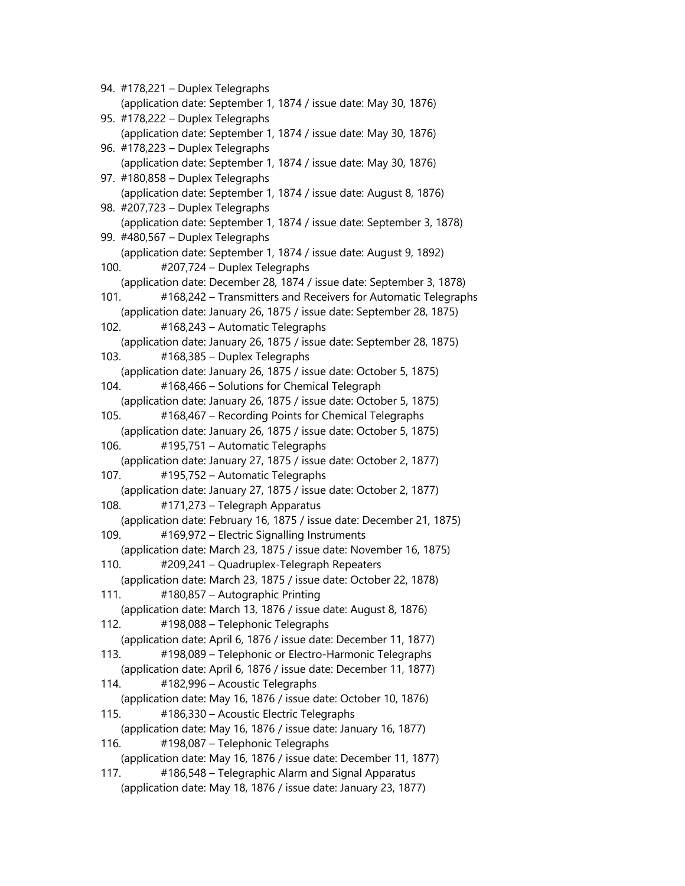94. #178,221 – Duplex Telegraphs (application date: September 1, 1874 / issue date: May 30, 1876) 95. #178,222 – Duplex Telegraphs (application date: September 1, 1874 / issue date: May 30, 1876) 96. #178,223 – Duplex Telegraphs (application date: September 1, 1874 / issue date: May 30, 1876) 97. #180,858 – Duplex Telegraphs (application date: September 1, 1874 / issue date: August 8, 1876) 98. #207,723 – Duplex Telegraphs (application date: September 1, 1874 / issue date: September 3, 1878) 99. #480,567 – Duplex Telegraphs (application date: September 1, 1874 / issue date: August 9, 1892) 100. #207,724 – Duplex Telegraphs (application date: December 28, 1874 / issue date: September 3, 1878) 101. #168,242 – Transmitters and Receivers for Automatic Telegraphs (application date: January 26, 1875 / issue date: September 28, 1875) 102. #168,243 – Automatic Telegraphs (application date: January 26, 1875 / issue date: September 28, 1875) 103. #168,385 – Duplex Telegraphs (application date: January 26, 1875 / issue date: October 5, 1875) 104. #168,466 – Solutions for Chemical Telegraph (application date: January 26, 1875 / issue date: October 5, 1875) 105. #168,467 – Recording Points for Chemical Telegraphs (application date: January 26, 1875 / issue date: October 5, 1875) 106. #195,751 – Automatic Telegraphs (application date: January 27, 1875 / issue date: October 2, 1877) 107. #195,752 – Automatic Telegraphs (application date: January 27, 1875 / issue date: October 2, 1877) 108. #171,273 – Telegraph Apparatus (application date: February 16, 1875 / issue date: December 21, 1875) 109. #169,972 – Electric Signalling Instruments (application date: March 23, 1875 / issue date: November 16, 1875) 110. #209,241 – Quadruplex-Telegraph Repeaters (application date: March 23, 1875 / issue date: October 22, 1878) 111. #180,857 – Autographic Printing (application date: March 13, 1876 / issue date: August 8, 1876) 112. #198,088 – Telephonic Telegraphs (application date: April 6, 1876 / issue date: December 11, 1877) 113. #198,089 – Telephonic or Electro-Harmonic Telegraphs (application date: April 6, 1876 / issue date: December 11, 1877) 114. #182,996 – Acoustic Telegraphs (application date: May 16, 1876 / issue date: October 10, 1876) 115. #186,330 – Acoustic Electric Telegraphs (application date: May 16, 1876 / issue date: January 16, 1877) 116. #198,087 – Telephonic Telegraphs (application date: May 16, 1876 / issue date: December 11, 1877) 117. #186,548 – Telegraphic Alarm and Signal Apparatus (application date: May 18, 1876 / issue date: January 23, 1877)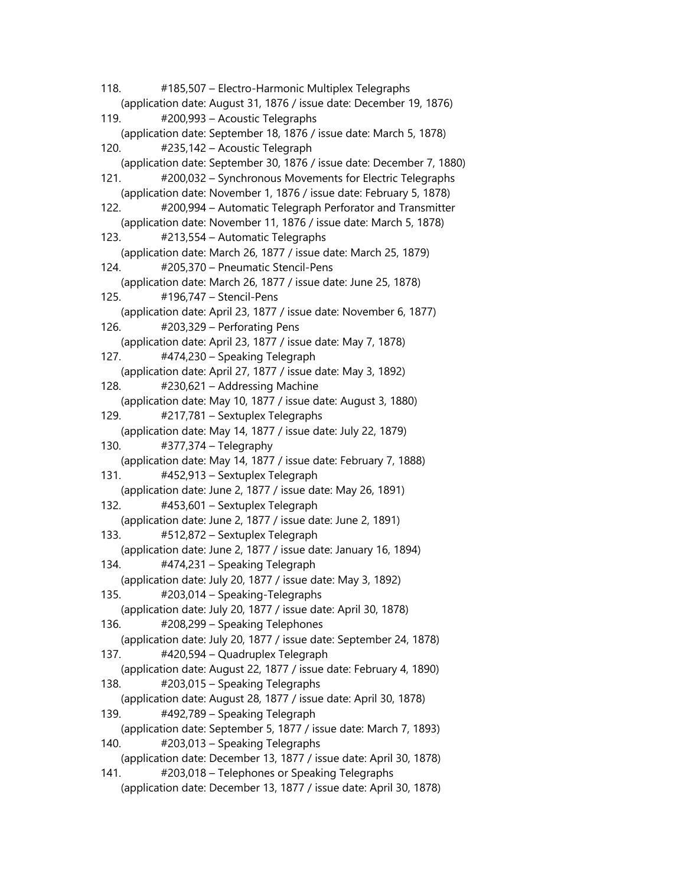118. #185,507 – Electro-Harmonic Multiplex Telegraphs (application date: August 31, 1876 / issue date: December 19, 1876) 119. #200,993 – Acoustic Telegraphs (application date: September 18, 1876 / issue date: March 5, 1878) 120. #235,142 – Acoustic Telegraph (application date: September 30, 1876 / issue date: December 7, 1880) 121. #200,032 – Synchronous Movements for Electric Telegraphs (application date: November 1, 1876 / issue date: February 5, 1878) 122. #200,994 – Automatic Telegraph Perforator and Transmitter (application date: November 11, 1876 / issue date: March 5, 1878) 123. #213,554 – Automatic Telegraphs (application date: March 26, 1877 / issue date: March 25, 1879) 124. #205,370 – Pneumatic Stencil-Pens (application date: March 26, 1877 / issue date: June 25, 1878) 125. #196,747 – Stencil-Pens (application date: April 23, 1877 / issue date: November 6, 1877) 126. #203,329 – Perforating Pens (application date: April 23, 1877 / issue date: May 7, 1878) 127. #474,230 – Speaking Telegraph (application date: April 27, 1877 / issue date: May 3, 1892) 128. #230,621 – Addressing Machine (application date: May 10, 1877 / issue date: August 3, 1880) 129. #217,781 – Sextuplex Telegraphs (application date: May 14, 1877 / issue date: July 22, 1879) 130. #377,374 – Telegraphy (application date: May 14, 1877 / issue date: February 7, 1888) 131. #452,913 – Sextuplex Telegraph (application date: June 2, 1877 / issue date: May 26, 1891) 132. #453,601 – Sextuplex Telegraph (application date: June 2, 1877 / issue date: June 2, 1891) 133. #512,872 – Sextuplex Telegraph (application date: June 2, 1877 / issue date: January 16, 1894) 134. #474,231 – Speaking Telegraph (application date: July 20, 1877 / issue date: May 3, 1892) 135. #203,014 – Speaking-Telegraphs (application date: July 20, 1877 / issue date: April 30, 1878) 136. #208,299 – Speaking Telephones (application date: July 20, 1877 / issue date: September 24, 1878) 137. #420,594 – Quadruplex Telegraph (application date: August 22, 1877 / issue date: February 4, 1890) 138. #203,015 – Speaking Telegraphs (application date: August 28, 1877 / issue date: April 30, 1878) 139. #492,789 – Speaking Telegraph (application date: September 5, 1877 / issue date: March 7, 1893) 140. #203,013 – Speaking Telegraphs (application date: December 13, 1877 / issue date: April 30, 1878) 141. #203,018 – Telephones or Speaking Telegraphs (application date: December 13, 1877 / issue date: April 30, 1878)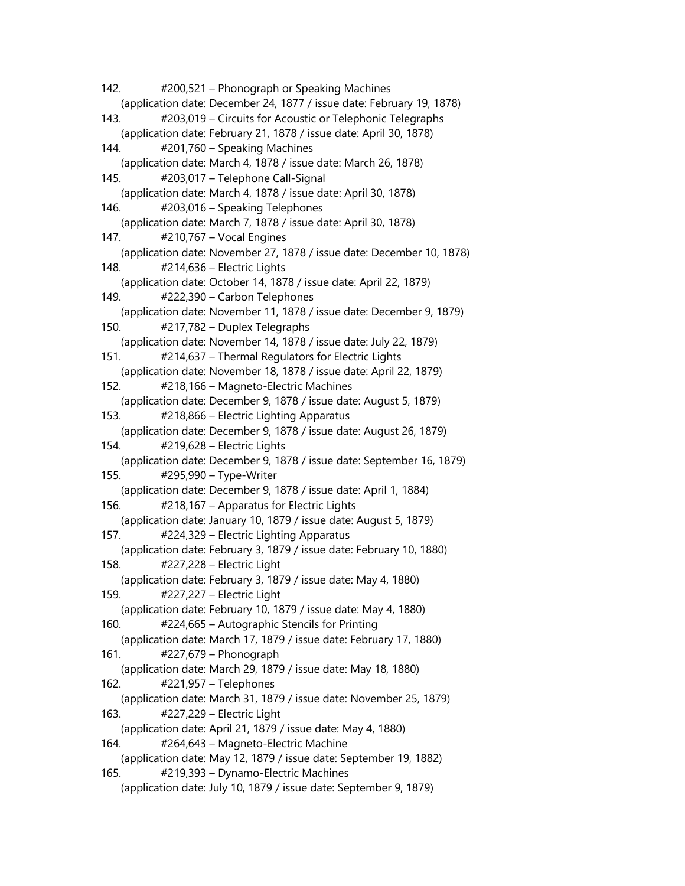142. #200,521 – Phonograph or Speaking Machines (application date: December 24, 1877 / issue date: February 19, 1878) 143. #203,019 – Circuits for Acoustic or Telephonic Telegraphs (application date: February 21, 1878 / issue date: April 30, 1878) 144. #201,760 – Speaking Machines (application date: March 4, 1878 / issue date: March 26, 1878) 145. #203,017 – Telephone Call-Signal (application date: March 4, 1878 / issue date: April 30, 1878) 146. #203,016 – Speaking Telephones (application date: March 7, 1878 / issue date: April 30, 1878) 147. #210,767 – Vocal Engines (application date: November 27, 1878 / issue date: December 10, 1878) 148. #214,636 – Electric Lights (application date: October 14, 1878 / issue date: April 22, 1879) 149. #222,390 – Carbon Telephones (application date: November 11, 1878 / issue date: December 9, 1879) 150. #217,782 – Duplex Telegraphs (application date: November 14, 1878 / issue date: July 22, 1879) 151. #214,637 – Thermal Regulators for Electric Lights (application date: November 18, 1878 / issue date: April 22, 1879) 152. #218,166 – Magneto-Electric Machines (application date: December 9, 1878 / issue date: August 5, 1879) 153. #218,866 – Electric Lighting Apparatus (application date: December 9, 1878 / issue date: August 26, 1879) 154. #219,628 – Electric Lights (application date: December 9, 1878 / issue date: September 16, 1879) 155. #295,990 – Type-Writer (application date: December 9, 1878 / issue date: April 1, 1884) 156. #218,167 – Apparatus for Electric Lights (application date: January 10, 1879 / issue date: August 5, 1879) 157. #224,329 – Electric Lighting Apparatus (application date: February 3, 1879 / issue date: February 10, 1880) 158. #227,228 – Electric Light (application date: February 3, 1879 / issue date: May 4, 1880) 159. #227,227 – Electric Light (application date: February 10, 1879 / issue date: May 4, 1880) 160. #224,665 – Autographic Stencils for Printing (application date: March 17, 1879 / issue date: February 17, 1880) 161. #227,679 – Phonograph (application date: March 29, 1879 / issue date: May 18, 1880) 162. #221,957 – Telephones (application date: March 31, 1879 / issue date: November 25, 1879) 163. #227,229 – Electric Light (application date: April 21, 1879 / issue date: May 4, 1880) 164. #264,643 – Magneto-Electric Machine (application date: May 12, 1879 / issue date: September 19, 1882) 165. #219,393 – Dynamo-Electric Machines (application date: July 10, 1879 / issue date: September 9, 1879)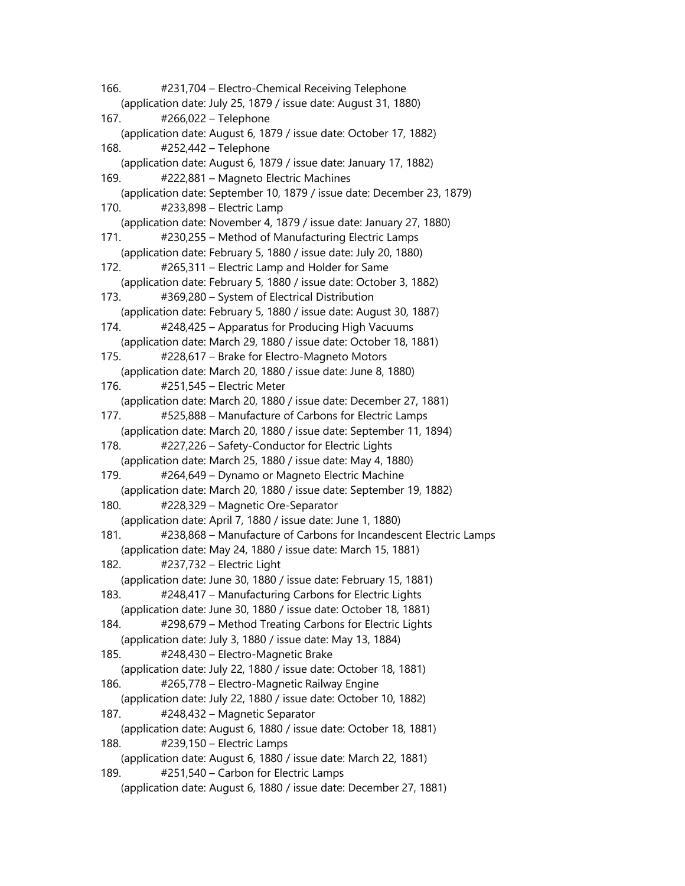166. #231,704 – Electro-Chemical Receiving Telephone (application date: July 25, 1879 / issue date: August 31, 1880) 167. #266,022 – Telephone (application date: August 6, 1879 / issue date: October 17, 1882) 168. #252,442 – Telephone (application date: August 6, 1879 / issue date: January 17, 1882) 169. #222,881 – Magneto Electric Machines (application date: September 10, 1879 / issue date: December 23, 1879) 170. #233,898 – Electric Lamp (application date: November 4, 1879 / issue date: January 27, 1880) 171. #230,255 – Method of Manufacturing Electric Lamps (application date: February 5, 1880 / issue date: July 20, 1880) 172. #265,311 – Electric Lamp and Holder for Same (application date: February 5, 1880 / issue date: October 3, 1882) 173. #369,280 – System of Electrical Distribution (application date: February 5, 1880 / issue date: August 30, 1887) 174. #248,425 – Apparatus for Producing High Vacuums (application date: March 29, 1880 / issue date: October 18, 1881) 175. #228,617 – Brake for Electro-Magneto Motors (application date: March 20, 1880 / issue date: June 8, 1880) 176. #251,545 – Electric Meter (application date: March 20, 1880 / issue date: December 27, 1881) 177. #525,888 – Manufacture of Carbons for Electric Lamps (application date: March 20, 1880 / issue date: September 11, 1894) 178. #227,226 – Safety-Conductor for Electric Lights (application date: March 25, 1880 / issue date: May 4, 1880) 179. #264,649 – Dynamo or Magneto Electric Machine (application date: March 20, 1880 / issue date: September 19, 1882) 180. #228,329 – Magnetic Ore-Separator (application date: April 7, 1880 / issue date: June 1, 1880) 181. #238,868 – Manufacture of Carbons for Incandescent Electric Lamps (application date: May 24, 1880 / issue date: March 15, 1881) 182. #237,732 – Electric Light (application date: June 30, 1880 / issue date: February 15, 1881) 183. #248,417 – Manufacturing Carbons for Electric Lights (application date: June 30, 1880 / issue date: October 18, 1881) 184. #298,679 – Method Treating Carbons for Electric Lights (application date: July 3, 1880 / issue date: May 13, 1884) 185. #248,430 – Electro-Magnetic Brake (application date: July 22, 1880 / issue date: October 18, 1881) 186. #265,778 – Electro-Magnetic Railway Engine (application date: July 22, 1880 / issue date: October 10, 1882) 187. #248,432 – Magnetic Separator (application date: August 6, 1880 / issue date: October 18, 1881) 188. #239,150 – Electric Lamps (application date: August 6, 1880 / issue date: March 22, 1881) 189. #251,540 – Carbon for Electric Lamps (application date: August 6, 1880 / issue date: December 27, 1881)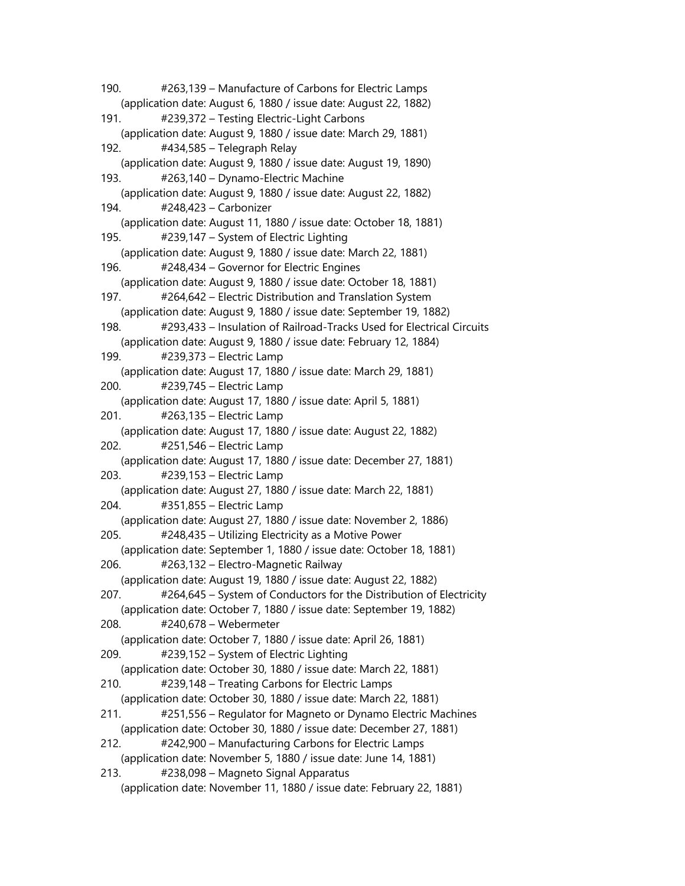190. #263,139 – Manufacture of Carbons for Electric Lamps (application date: August 6, 1880 / issue date: August 22, 1882) 191. #239,372 – Testing Electric-Light Carbons (application date: August 9, 1880 / issue date: March 29, 1881) 192. #434,585 – Telegraph Relay (application date: August 9, 1880 / issue date: August 19, 1890) 193. #263,140 – Dynamo-Electric Machine (application date: August 9, 1880 / issue date: August 22, 1882) 194. #248,423 – Carbonizer (application date: August 11, 1880 / issue date: October 18, 1881) 195. #239,147 – System of Electric Lighting (application date: August 9, 1880 / issue date: March 22, 1881) 196. #248,434 – Governor for Electric Engines (application date: August 9, 1880 / issue date: October 18, 1881) 197. #264,642 – Electric Distribution and Translation System (application date: August 9, 1880 / issue date: September 19, 1882) 198. #293,433 – Insulation of Railroad-Tracks Used for Electrical Circuits (application date: August 9, 1880 / issue date: February 12, 1884) 199. #239,373 – Electric Lamp (application date: August 17, 1880 / issue date: March 29, 1881) 200. #239,745 – Electric Lamp (application date: August 17, 1880 / issue date: April 5, 1881) 201. #263,135 – Electric Lamp (application date: August 17, 1880 / issue date: August 22, 1882) 202. #251,546 – Electric Lamp (application date: August 17, 1880 / issue date: December 27, 1881) 203. #239,153 – Electric Lamp (application date: August 27, 1880 / issue date: March 22, 1881) 204. #351,855 – Electric Lamp (application date: August 27, 1880 / issue date: November 2, 1886) 205. #248,435 – Utilizing Electricity as a Motive Power (application date: September 1, 1880 / issue date: October 18, 1881) 206. #263,132 – Electro-Magnetic Railway (application date: August 19, 1880 / issue date: August 22, 1882) 207. #264,645 – System of Conductors for the Distribution of Electricity (application date: October 7, 1880 / issue date: September 19, 1882) 208. #240,678 – Webermeter (application date: October 7, 1880 / issue date: April 26, 1881) 209. #239,152 – System of Electric Lighting (application date: October 30, 1880 / issue date: March 22, 1881) 210. #239,148 – Treating Carbons for Electric Lamps (application date: October 30, 1880 / issue date: March 22, 1881) 211. #251,556 – Regulator for Magneto or Dynamo Electric Machines (application date: October 30, 1880 / issue date: December 27, 1881) 212. #242,900 – Manufacturing Carbons for Electric Lamps (application date: November 5, 1880 / issue date: June 14, 1881) 213. #238,098 – Magneto Signal Apparatus (application date: November 11, 1880 / issue date: February 22, 1881)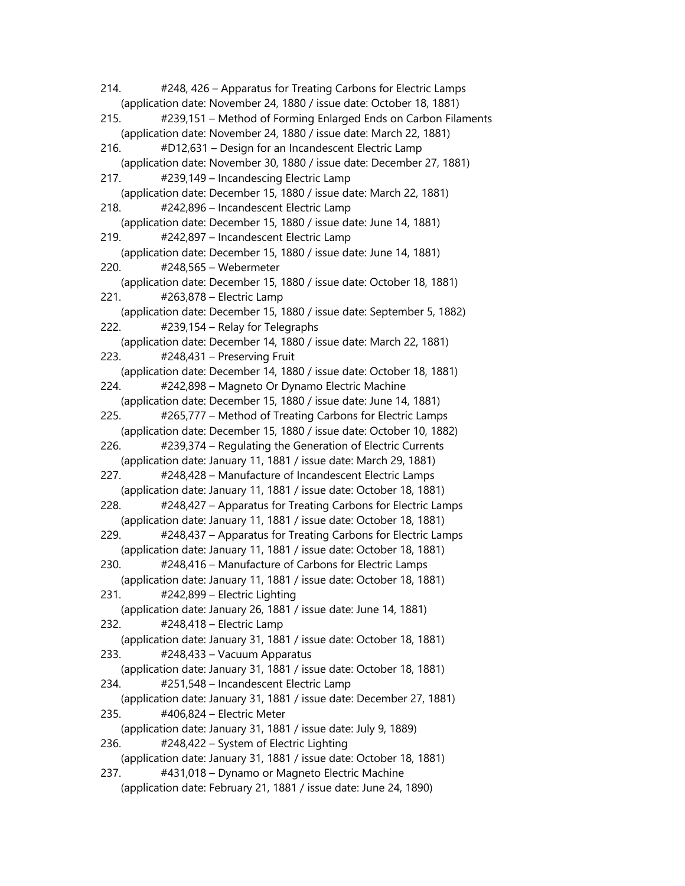214. #248, 426 – Apparatus for Treating Carbons for Electric Lamps (application date: November 24, 1880 / issue date: October 18, 1881) 215. #239,151 – Method of Forming Enlarged Ends on Carbon Filaments (application date: November 24, 1880 / issue date: March 22, 1881) 216. #D12,631 – Design for an Incandescent Electric Lamp (application date: November 30, 1880 / issue date: December 27, 1881) 217. #239,149 – Incandescing Electric Lamp (application date: December 15, 1880 / issue date: March 22, 1881) 218. #242,896 – Incandescent Electric Lamp (application date: December 15, 1880 / issue date: June 14, 1881) 219. #242,897 – Incandescent Electric Lamp (application date: December 15, 1880 / issue date: June 14, 1881) 220. #248,565 – Webermeter (application date: December 15, 1880 / issue date: October 18, 1881) 221. #263,878 – Electric Lamp (application date: December 15, 1880 / issue date: September 5, 1882) 222. #239,154 – Relay for Telegraphs (application date: December 14, 1880 / issue date: March 22, 1881) 223. #248,431 – Preserving Fruit (application date: December 14, 1880 / issue date: October 18, 1881) 224. #242,898 – Magneto Or Dynamo Electric Machine (application date: December 15, 1880 / issue date: June 14, 1881) 225. #265,777 – Method of Treating Carbons for Electric Lamps (application date: December 15, 1880 / issue date: October 10, 1882) 226. #239,374 – Regulating the Generation of Electric Currents (application date: January 11, 1881 / issue date: March 29, 1881) 227. #248,428 – Manufacture of Incandescent Electric Lamps (application date: January 11, 1881 / issue date: October 18, 1881) 228. #248,427 – Apparatus for Treating Carbons for Electric Lamps (application date: January 11, 1881 / issue date: October 18, 1881) 229. #248,437 – Apparatus for Treating Carbons for Electric Lamps (application date: January 11, 1881 / issue date: October 18, 1881) 230. #248,416 – Manufacture of Carbons for Electric Lamps (application date: January 11, 1881 / issue date: October 18, 1881) 231. #242,899 – Electric Lighting (application date: January 26, 1881 / issue date: June 14, 1881) 232. #248,418 – Electric Lamp (application date: January 31, 1881 / issue date: October 18, 1881) 233. #248,433 – Vacuum Apparatus (application date: January 31, 1881 / issue date: October 18, 1881) 234. #251,548 – Incandescent Electric Lamp (application date: January 31, 1881 / issue date: December 27, 1881) 235. #406,824 – Electric Meter (application date: January 31, 1881 / issue date: July 9, 1889) 236. #248,422 – System of Electric Lighting (application date: January 31, 1881 / issue date: October 18, 1881) 237. #431,018 – Dynamo or Magneto Electric Machine (application date: February 21, 1881 / issue date: June 24, 1890)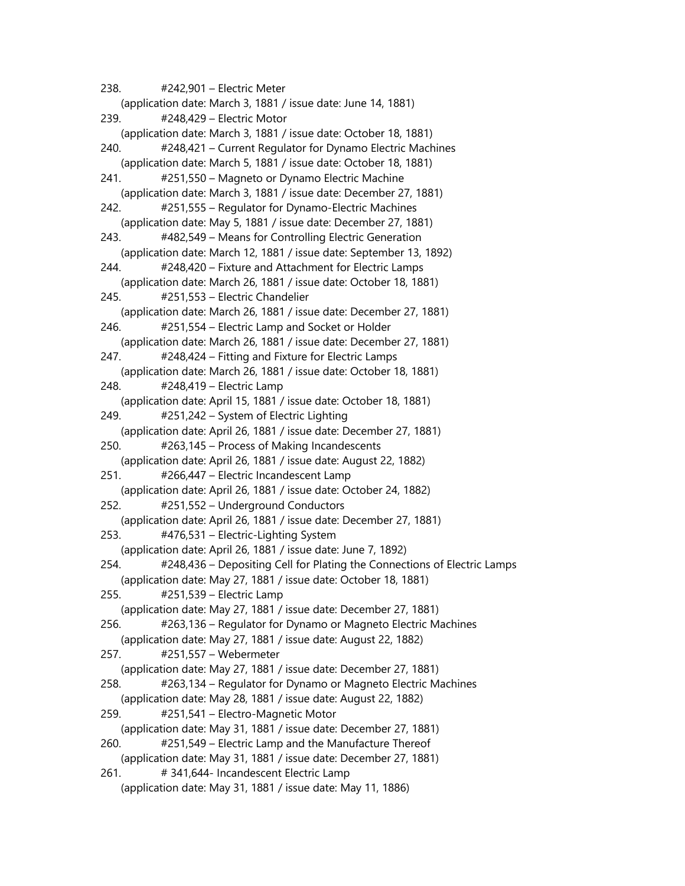238. #242,901 – Electric Meter (application date: March 3, 1881 / issue date: June 14, 1881) 239. #248,429 – Electric Motor (application date: March 3, 1881 / issue date: October 18, 1881) 240. #248,421 – Current Regulator for Dynamo Electric Machines (application date: March 5, 1881 / issue date: October 18, 1881) 241. #251,550 – Magneto or Dynamo Electric Machine (application date: March 3, 1881 / issue date: December 27, 1881) 242. #251,555 – Regulator for Dynamo-Electric Machines (application date: May 5, 1881 / issue date: December 27, 1881) 243. #482,549 – Means for Controlling Electric Generation (application date: March 12, 1881 / issue date: September 13, 1892) 244. #248,420 – Fixture and Attachment for Electric Lamps (application date: March 26, 1881 / issue date: October 18, 1881) 245. #251,553 – Electric Chandelier (application date: March 26, 1881 / issue date: December 27, 1881) 246. #251,554 – Electric Lamp and Socket or Holder (application date: March 26, 1881 / issue date: December 27, 1881) 247. #248,424 – Fitting and Fixture for Electric Lamps (application date: March 26, 1881 / issue date: October 18, 1881) 248. #248,419 – Electric Lamp (application date: April 15, 1881 / issue date: October 18, 1881) 249. #251,242 – System of Electric Lighting (application date: April 26, 1881 / issue date: December 27, 1881) 250. #263,145 – Process of Making Incandescents (application date: April 26, 1881 / issue date: August 22, 1882) 251. #266,447 – Electric Incandescent Lamp (application date: April 26, 1881 / issue date: October 24, 1882) 252. #251,552 – Underground Conductors (application date: April 26, 1881 / issue date: December 27, 1881) 253. #476,531 – Electric-Lighting System (application date: April 26, 1881 / issue date: June 7, 1892) 254. #248,436 – Depositing Cell for Plating the Connections of Electric Lamps (application date: May 27, 1881 / issue date: October 18, 1881) 255. #251,539 – Electric Lamp (application date: May 27, 1881 / issue date: December 27, 1881) 256. #263,136 – Regulator for Dynamo or Magneto Electric Machines (application date: May 27, 1881 / issue date: August 22, 1882) 257. #251,557 – Webermeter (application date: May 27, 1881 / issue date: December 27, 1881) 258. #263,134 – Regulator for Dynamo or Magneto Electric Machines (application date: May 28, 1881 / issue date: August 22, 1882) 259. #251,541 – Electro-Magnetic Motor (application date: May 31, 1881 / issue date: December 27, 1881) 260. #251,549 – Electric Lamp and the Manufacture Thereof (application date: May 31, 1881 / issue date: December 27, 1881) 261. # 341,644- Incandescent Electric Lamp (application date: May 31, 1881 / issue date: May 11, 1886)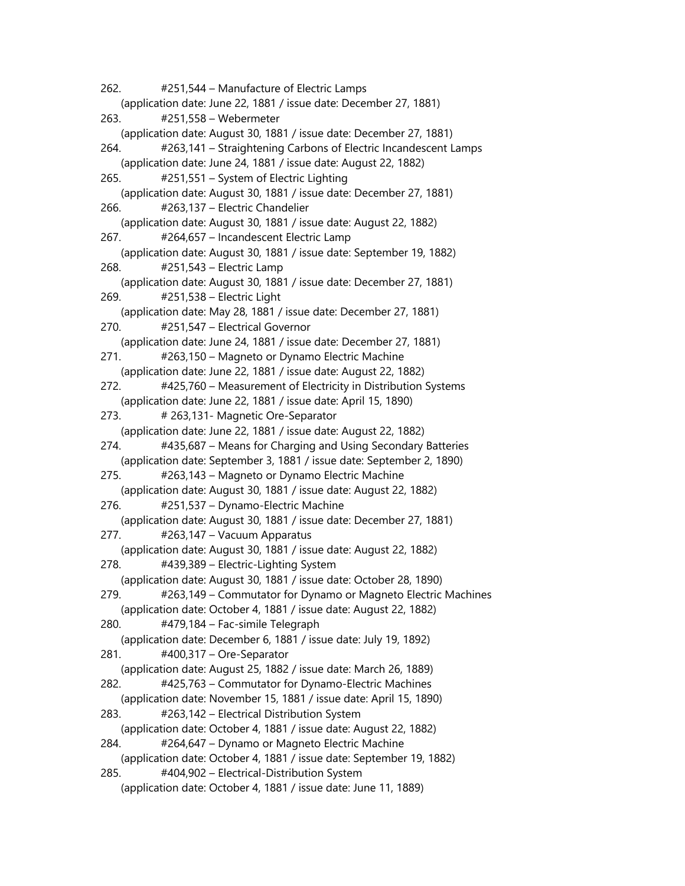262. #251,544 – Manufacture of Electric Lamps (application date: June 22, 1881 / issue date: December 27, 1881) 263. #251,558 – Webermeter (application date: August 30, 1881 / issue date: December 27, 1881) 264. #263,141 – Straightening Carbons of Electric Incandescent Lamps (application date: June 24, 1881 / issue date: August 22, 1882) 265. #251,551 – System of Electric Lighting (application date: August 30, 1881 / issue date: December 27, 1881) 266. #263,137 – Electric Chandelier (application date: August 30, 1881 / issue date: August 22, 1882) 267. #264,657 – Incandescent Electric Lamp (application date: August 30, 1881 / issue date: September 19, 1882) 268. #251,543 – Electric Lamp (application date: August 30, 1881 / issue date: December 27, 1881) 269. #251,538 – Electric Light (application date: May 28, 1881 / issue date: December 27, 1881) 270. #251,547 – Electrical Governor (application date: June 24, 1881 / issue date: December 27, 1881) 271. #263,150 – Magneto or Dynamo Electric Machine (application date: June 22, 1881 / issue date: August 22, 1882) 272. #425,760 – Measurement of Electricity in Distribution Systems (application date: June 22, 1881 / issue date: April 15, 1890) 273. # 263,131- Magnetic Ore-Separator (application date: June 22, 1881 / issue date: August 22, 1882) 274. #435,687 – Means for Charging and Using Secondary Batteries (application date: September 3, 1881 / issue date: September 2, 1890) 275. #263,143 – Magneto or Dynamo Electric Machine (application date: August 30, 1881 / issue date: August 22, 1882) 276. #251,537 – Dynamo-Electric Machine (application date: August 30, 1881 / issue date: December 27, 1881) 277. #263,147 – Vacuum Apparatus (application date: August 30, 1881 / issue date: August 22, 1882) 278. #439,389 – Electric-Lighting System (application date: August 30, 1881 / issue date: October 28, 1890) 279. #263,149 – Commutator for Dynamo or Magneto Electric Machines (application date: October 4, 1881 / issue date: August 22, 1882) 280. #479,184 – Fac-simile Telegraph (application date: December 6, 1881 / issue date: July 19, 1892) 281. #400,317 – Ore-Separator (application date: August 25, 1882 / issue date: March 26, 1889) 282. #425,763 – Commutator for Dynamo-Electric Machines (application date: November 15, 1881 / issue date: April 15, 1890) 283. #263,142 – Electrical Distribution System (application date: October 4, 1881 / issue date: August 22, 1882) 284. #264,647 – Dynamo or Magneto Electric Machine (application date: October 4, 1881 / issue date: September 19, 1882) 285. #404,902 – Electrical-Distribution System (application date: October 4, 1881 / issue date: June 11, 1889)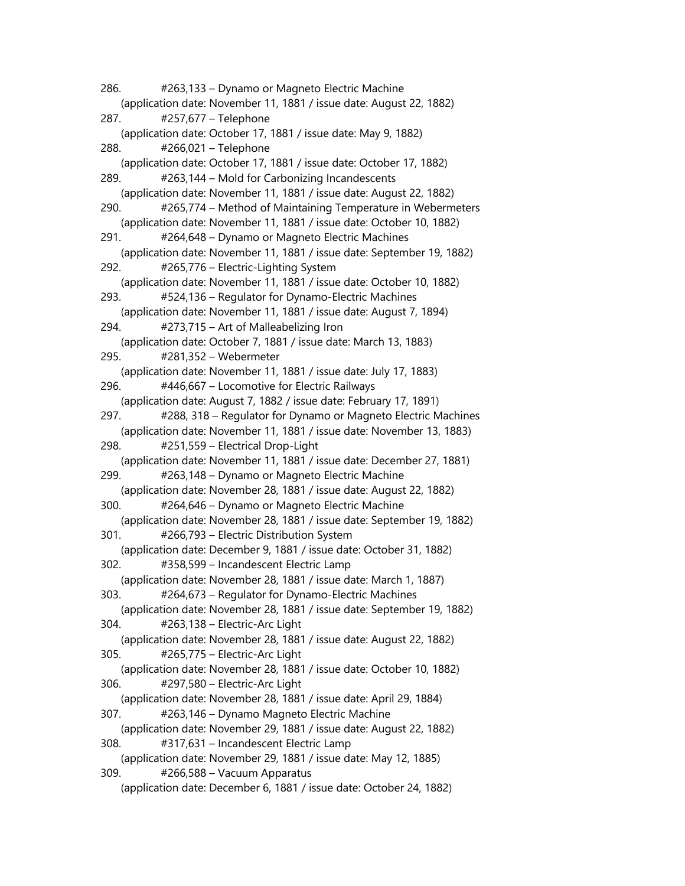286. #263,133 – Dynamo or Magneto Electric Machine (application date: November 11, 1881 / issue date: August 22, 1882) 287. #257,677 – Telephone (application date: October 17, 1881 / issue date: May 9, 1882) 288. #266,021 – Telephone (application date: October 17, 1881 / issue date: October 17, 1882) 289. #263,144 – Mold for Carbonizing Incandescents (application date: November 11, 1881 / issue date: August 22, 1882) 290. #265,774 – Method of Maintaining Temperature in Webermeters (application date: November 11, 1881 / issue date: October 10, 1882) 291. #264,648 – Dynamo or Magneto Electric Machines (application date: November 11, 1881 / issue date: September 19, 1882) 292. #265,776 – Electric-Lighting System (application date: November 11, 1881 / issue date: October 10, 1882) 293. #524,136 – Regulator for Dynamo-Electric Machines (application date: November 11, 1881 / issue date: August 7, 1894) 294. #273,715 – Art of Malleabelizing Iron (application date: October 7, 1881 / issue date: March 13, 1883) 295. #281,352 – Webermeter (application date: November 11, 1881 / issue date: July 17, 1883) 296. #446,667 – Locomotive for Electric Railways (application date: August 7, 1882 / issue date: February 17, 1891) 297. #288, 318 – Regulator for Dynamo or Magneto Electric Machines (application date: November 11, 1881 / issue date: November 13, 1883) 298. #251,559 – Electrical Drop-Light (application date: November 11, 1881 / issue date: December 27, 1881) 299. #263,148 – Dynamo or Magneto Electric Machine (application date: November 28, 1881 / issue date: August 22, 1882) 300. #264,646 – Dynamo or Magneto Electric Machine (application date: November 28, 1881 / issue date: September 19, 1882) 301. #266,793 – Electric Distribution System (application date: December 9, 1881 / issue date: October 31, 1882) 302. #358,599 – Incandescent Electric Lamp (application date: November 28, 1881 / issue date: March 1, 1887) 303. #264,673 – Regulator for Dynamo-Electric Machines (application date: November 28, 1881 / issue date: September 19, 1882) 304. #263,138 – Electric-Arc Light (application date: November 28, 1881 / issue date: August 22, 1882) 305. #265,775 – Electric-Arc Light (application date: November 28, 1881 / issue date: October 10, 1882) 306. #297,580 – Electric-Arc Light (application date: November 28, 1881 / issue date: April 29, 1884) 307. #263,146 – Dynamo Magneto Electric Machine (application date: November 29, 1881 / issue date: August 22, 1882) 308. #317,631 – Incandescent Electric Lamp (application date: November 29, 1881 / issue date: May 12, 1885) 309. #266,588 – Vacuum Apparatus (application date: December 6, 1881 / issue date: October 24, 1882)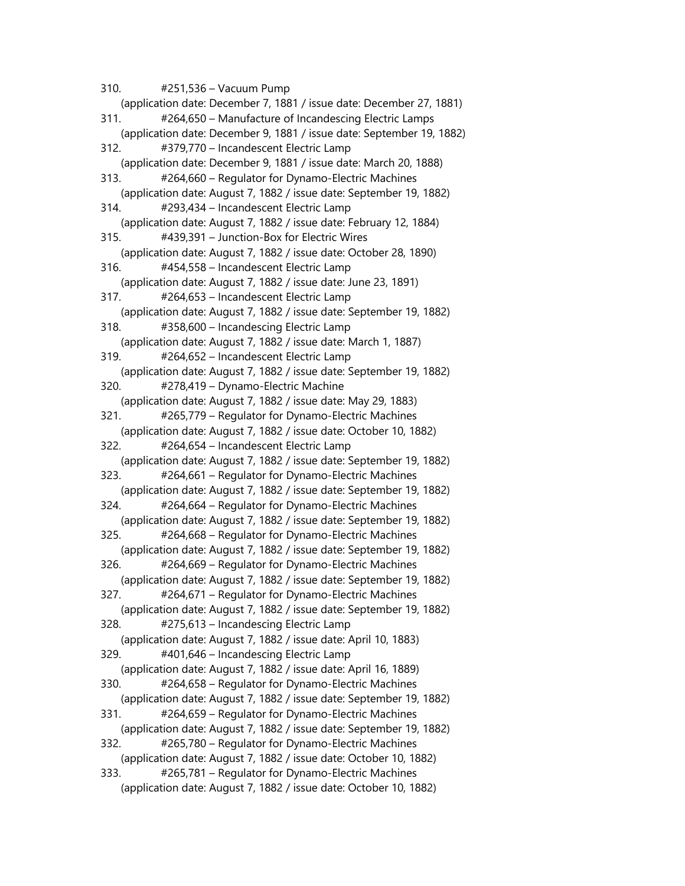310. #251,536 – Vacuum Pump (application date: December 7, 1881 / issue date: December 27, 1881) 311. #264,650 – Manufacture of Incandescing Electric Lamps (application date: December 9, 1881 / issue date: September 19, 1882) 312. #379,770 – Incandescent Electric Lamp (application date: December 9, 1881 / issue date: March 20, 1888) 313. #264,660 – Regulator for Dynamo-Electric Machines (application date: August 7, 1882 / issue date: September 19, 1882) 314. #293,434 – Incandescent Electric Lamp (application date: August 7, 1882 / issue date: February 12, 1884) 315. #439,391 – Junction-Box for Electric Wires (application date: August 7, 1882 / issue date: October 28, 1890) 316. #454,558 – Incandescent Electric Lamp (application date: August 7, 1882 / issue date: June 23, 1891) 317. #264,653 – Incandescent Electric Lamp (application date: August 7, 1882 / issue date: September 19, 1882) 318. #358,600 – Incandescing Electric Lamp (application date: August 7, 1882 / issue date: March 1, 1887) 319. #264,652 – Incandescent Electric Lamp (application date: August 7, 1882 / issue date: September 19, 1882) 320. #278,419 – Dynamo-Electric Machine (application date: August 7, 1882 / issue date: May 29, 1883) 321. #265,779 – Regulator for Dynamo-Electric Machines (application date: August 7, 1882 / issue date: October 10, 1882) 322. #264,654 – Incandescent Electric Lamp (application date: August 7, 1882 / issue date: September 19, 1882) 323. #264,661 – Regulator for Dynamo-Electric Machines (application date: August 7, 1882 / issue date: September 19, 1882) 324. #264,664 – Regulator for Dynamo-Electric Machines (application date: August 7, 1882 / issue date: September 19, 1882) 325. #264,668 – Regulator for Dynamo-Electric Machines (application date: August 7, 1882 / issue date: September 19, 1882) 326. #264,669 – Regulator for Dynamo-Electric Machines (application date: August 7, 1882 / issue date: September 19, 1882) 327. #264,671 – Regulator for Dynamo-Electric Machines (application date: August 7, 1882 / issue date: September 19, 1882) 328. #275,613 – Incandescing Electric Lamp (application date: August 7, 1882 / issue date: April 10, 1883) 329. #401,646 – Incandescing Electric Lamp (application date: August 7, 1882 / issue date: April 16, 1889) 330. #264,658 – Regulator for Dynamo-Electric Machines (application date: August 7, 1882 / issue date: September 19, 1882) 331. #264,659 – Regulator for Dynamo-Electric Machines (application date: August 7, 1882 / issue date: September 19, 1882) 332. #265,780 – Regulator for Dynamo-Electric Machines (application date: August 7, 1882 / issue date: October 10, 1882) 333. #265,781 – Regulator for Dynamo-Electric Machines (application date: August 7, 1882 / issue date: October 10, 1882)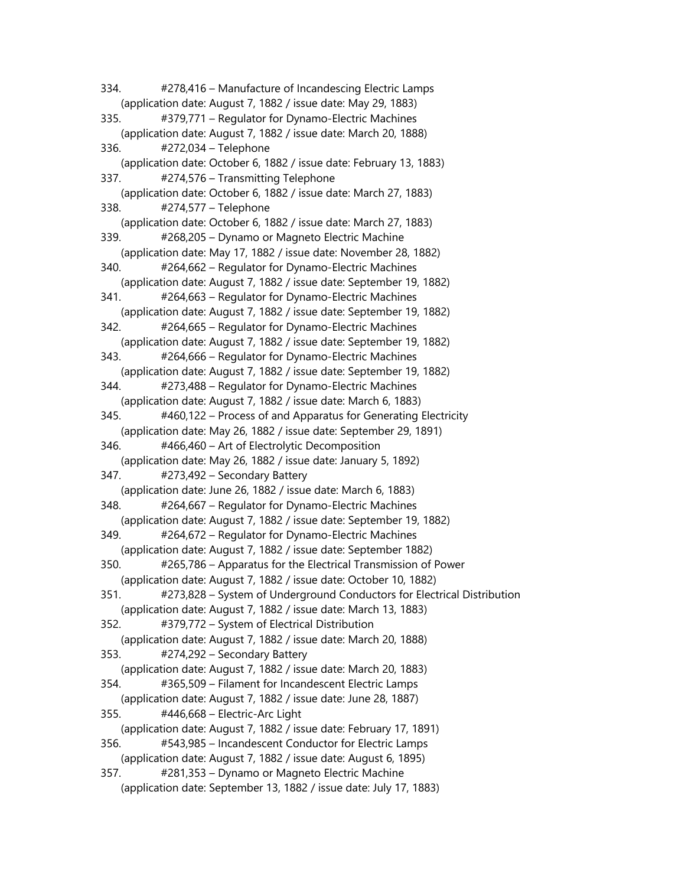334. #278,416 – Manufacture of Incandescing Electric Lamps (application date: August 7, 1882 / issue date: May 29, 1883) 335. #379,771 – Regulator for Dynamo-Electric Machines (application date: August 7, 1882 / issue date: March 20, 1888) 336. #272,034 – Telephone (application date: October 6, 1882 / issue date: February 13, 1883) 337. #274,576 – Transmitting Telephone (application date: October 6, 1882 / issue date: March 27, 1883) 338. #274,577 – Telephone (application date: October 6, 1882 / issue date: March 27, 1883) 339. #268,205 – Dynamo or Magneto Electric Machine (application date: May 17, 1882 / issue date: November 28, 1882) 340. #264,662 – Regulator for Dynamo-Electric Machines (application date: August 7, 1882 / issue date: September 19, 1882) 341. #264,663 – Regulator for Dynamo-Electric Machines (application date: August 7, 1882 / issue date: September 19, 1882) 342. #264,665 – Regulator for Dynamo-Electric Machines (application date: August 7, 1882 / issue date: September 19, 1882) 343. #264,666 – Regulator for Dynamo-Electric Machines (application date: August 7, 1882 / issue date: September 19, 1882) 344. #273,488 – Regulator for Dynamo-Electric Machines (application date: August 7, 1882 / issue date: March 6, 1883) 345. #460,122 – Process of and Apparatus for Generating Electricity (application date: May 26, 1882 / issue date: September 29, 1891) 346. #466,460 – Art of Electrolytic Decomposition (application date: May 26, 1882 / issue date: January 5, 1892) 347. #273,492 – Secondary Battery (application date: June 26, 1882 / issue date: March 6, 1883) 348. #264,667 – Regulator for Dynamo-Electric Machines (application date: August 7, 1882 / issue date: September 19, 1882) 349. #264,672 – Regulator for Dynamo-Electric Machines (application date: August 7, 1882 / issue date: September 1882) 350. #265,786 – Apparatus for the Electrical Transmission of Power (application date: August 7, 1882 / issue date: October 10, 1882) 351. #273,828 – System of Underground Conductors for Electrical Distribution (application date: August 7, 1882 / issue date: March 13, 1883) 352. #379,772 – System of Electrical Distribution (application date: August 7, 1882 / issue date: March 20, 1888) 353. #274,292 – Secondary Battery (application date: August 7, 1882 / issue date: March 20, 1883) 354. #365,509 – Filament for Incandescent Electric Lamps (application date: August 7, 1882 / issue date: June 28, 1887) 355. #446,668 – Electric-Arc Light (application date: August 7, 1882 / issue date: February 17, 1891) 356. #543,985 – Incandescent Conductor for Electric Lamps (application date: August 7, 1882 / issue date: August 6, 1895) 357. #281,353 – Dynamo or Magneto Electric Machine (application date: September 13, 1882 / issue date: July 17, 1883)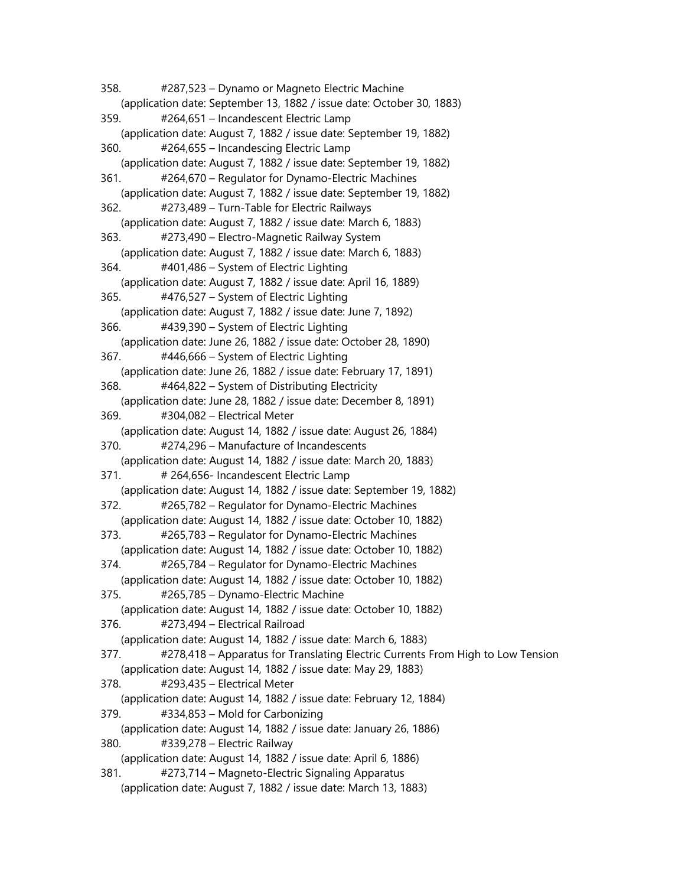358. #287,523 – Dynamo or Magneto Electric Machine (application date: September 13, 1882 / issue date: October 30, 1883) 359. #264,651 – Incandescent Electric Lamp (application date: August 7, 1882 / issue date: September 19, 1882) 360. #264,655 – Incandescing Electric Lamp (application date: August 7, 1882 / issue date: September 19, 1882) 361. #264,670 – Regulator for Dynamo-Electric Machines (application date: August 7, 1882 / issue date: September 19, 1882) 362. #273,489 – Turn-Table for Electric Railways (application date: August 7, 1882 / issue date: March 6, 1883) 363. #273,490 – Electro-Magnetic Railway System (application date: August 7, 1882 / issue date: March 6, 1883) 364. #401,486 – System of Electric Lighting (application date: August 7, 1882 / issue date: April 16, 1889) 365. #476,527 – System of Electric Lighting (application date: August 7, 1882 / issue date: June 7, 1892) 366. #439,390 – System of Electric Lighting (application date: June 26, 1882 / issue date: October 28, 1890) 367. #446,666 – System of Electric Lighting (application date: June 26, 1882 / issue date: February 17, 1891) 368. #464,822 – System of Distributing Electricity (application date: June 28, 1882 / issue date: December 8, 1891) 369. #304,082 – Electrical Meter (application date: August 14, 1882 / issue date: August 26, 1884) 370. #274,296 – Manufacture of Incandescents (application date: August 14, 1882 / issue date: March 20, 1883) 371. # 264,656- Incandescent Electric Lamp (application date: August 14, 1882 / issue date: September 19, 1882) 372. #265,782 – Regulator for Dynamo-Electric Machines (application date: August 14, 1882 / issue date: October 10, 1882) 373. #265,783 – Regulator for Dynamo-Electric Machines (application date: August 14, 1882 / issue date: October 10, 1882) 374. #265,784 – Regulator for Dynamo-Electric Machines (application date: August 14, 1882 / issue date: October 10, 1882) 375. #265,785 – Dynamo-Electric Machine (application date: August 14, 1882 / issue date: October 10, 1882) 376. #273,494 – Electrical Railroad (application date: August 14, 1882 / issue date: March 6, 1883) 377. #278,418 – Apparatus for Translating Electric Currents From High to Low Tension (application date: August 14, 1882 / issue date: May 29, 1883) 378. #293,435 – Electrical Meter (application date: August 14, 1882 / issue date: February 12, 1884) 379. #334,853 – Mold for Carbonizing (application date: August 14, 1882 / issue date: January 26, 1886) 380. #339,278 – Electric Railway (application date: August 14, 1882 / issue date: April 6, 1886) 381. #273,714 – Magneto-Electric Signaling Apparatus (application date: August 7, 1882 / issue date: March 13, 1883)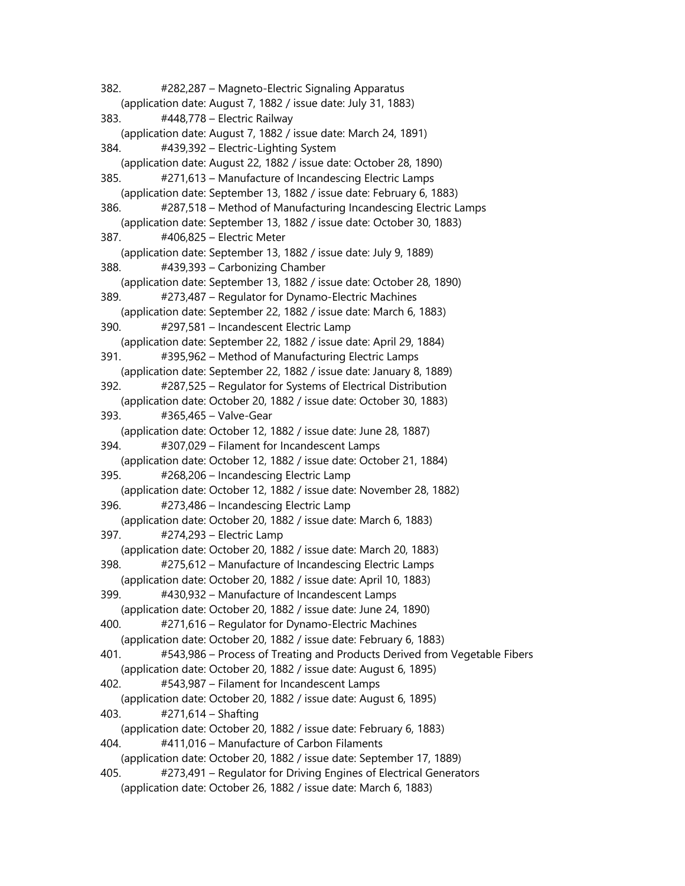382. #282,287 – Magneto-Electric Signaling Apparatus (application date: August 7, 1882 / issue date: July 31, 1883) 383. #448,778 – Electric Railway (application date: August 7, 1882 / issue date: March 24, 1891) 384. #439,392 – Electric-Lighting System (application date: August 22, 1882 / issue date: October 28, 1890) 385. #271,613 – Manufacture of Incandescing Electric Lamps (application date: September 13, 1882 / issue date: February 6, 1883) 386. #287,518 – Method of Manufacturing Incandescing Electric Lamps (application date: September 13, 1882 / issue date: October 30, 1883) 387. #406,825 – Electric Meter (application date: September 13, 1882 / issue date: July 9, 1889) 388. #439,393 – Carbonizing Chamber (application date: September 13, 1882 / issue date: October 28, 1890) 389. #273,487 – Regulator for Dynamo-Electric Machines (application date: September 22, 1882 / issue date: March 6, 1883) 390. #297,581 – Incandescent Electric Lamp (application date: September 22, 1882 / issue date: April 29, 1884) 391. #395,962 – Method of Manufacturing Electric Lamps (application date: September 22, 1882 / issue date: January 8, 1889) 392. #287,525 – Regulator for Systems of Electrical Distribution (application date: October 20, 1882 / issue date: October 30, 1883) 393. #365,465 – Valve-Gear (application date: October 12, 1882 / issue date: June 28, 1887) 394. #307,029 – Filament for Incandescent Lamps (application date: October 12, 1882 / issue date: October 21, 1884) 395. #268,206 – Incandescing Electric Lamp (application date: October 12, 1882 / issue date: November 28, 1882) 396. #273,486 – Incandescing Electric Lamp (application date: October 20, 1882 / issue date: March 6, 1883) 397. #274,293 – Electric Lamp (application date: October 20, 1882 / issue date: March 20, 1883) 398. #275,612 – Manufacture of Incandescing Electric Lamps (application date: October 20, 1882 / issue date: April 10, 1883) 399. #430,932 – Manufacture of Incandescent Lamps (application date: October 20, 1882 / issue date: June 24, 1890) 400. #271,616 – Regulator for Dynamo-Electric Machines (application date: October 20, 1882 / issue date: February 6, 1883) 401. #543,986 – Process of Treating and Products Derived from Vegetable Fibers (application date: October 20, 1882 / issue date: August 6, 1895) 402. #543,987 – Filament for Incandescent Lamps (application date: October 20, 1882 / issue date: August 6, 1895) 403. #271,614 – Shafting (application date: October 20, 1882 / issue date: February 6, 1883) 404. #411,016 – Manufacture of Carbon Filaments (application date: October 20, 1882 / issue date: September 17, 1889) 405. #273,491 – Regulator for Driving Engines of Electrical Generators (application date: October 26, 1882 / issue date: March 6, 1883)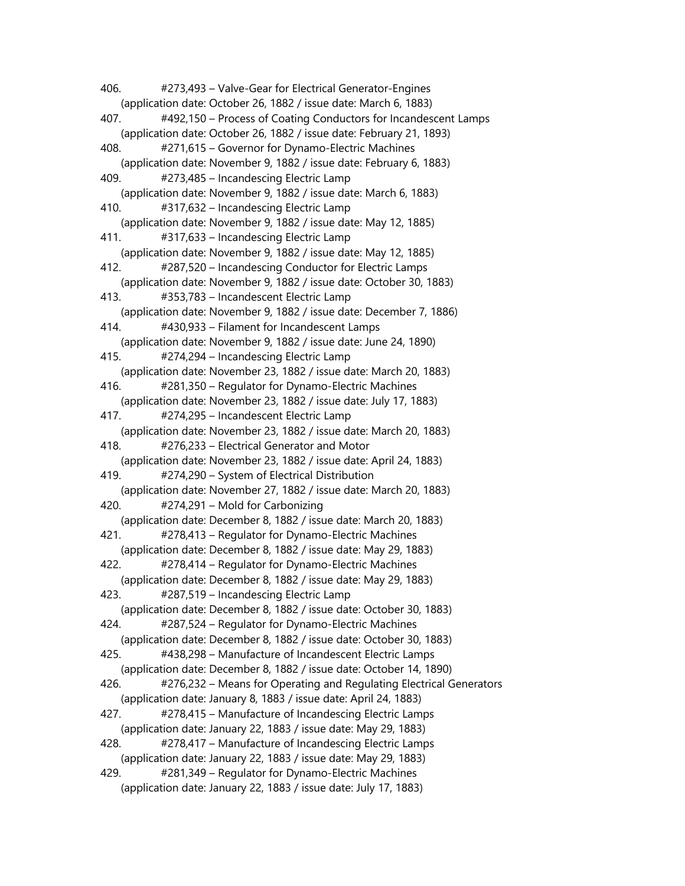406. #273,493 – Valve-Gear for Electrical Generator-Engines (application date: October 26, 1882 / issue date: March 6, 1883) 407. #492,150 – Process of Coating Conductors for Incandescent Lamps (application date: October 26, 1882 / issue date: February 21, 1893) 408. #271,615 – Governor for Dynamo-Electric Machines (application date: November 9, 1882 / issue date: February 6, 1883) 409. #273,485 – Incandescing Electric Lamp (application date: November 9, 1882 / issue date: March 6, 1883) 410. #317,632 – Incandescing Electric Lamp (application date: November 9, 1882 / issue date: May 12, 1885) 411. #317,633 – Incandescing Electric Lamp (application date: November 9, 1882 / issue date: May 12, 1885) 412. #287,520 – Incandescing Conductor for Electric Lamps (application date: November 9, 1882 / issue date: October 30, 1883) 413. #353,783 – Incandescent Electric Lamp (application date: November 9, 1882 / issue date: December 7, 1886) 414. #430,933 – Filament for Incandescent Lamps (application date: November 9, 1882 / issue date: June 24, 1890) 415. #274,294 – Incandescing Electric Lamp (application date: November 23, 1882 / issue date: March 20, 1883) 416. #281,350 – Regulator for Dynamo-Electric Machines (application date: November 23, 1882 / issue date: July 17, 1883) 417. #274,295 – Incandescent Electric Lamp (application date: November 23, 1882 / issue date: March 20, 1883) 418. #276,233 – Electrical Generator and Motor (application date: November 23, 1882 / issue date: April 24, 1883) 419. #274,290 – System of Electrical Distribution (application date: November 27, 1882 / issue date: March 20, 1883) 420. #274,291 – Mold for Carbonizing (application date: December 8, 1882 / issue date: March 20, 1883) 421. #278,413 – Regulator for Dynamo-Electric Machines (application date: December 8, 1882 / issue date: May 29, 1883) 422. #278,414 – Regulator for Dynamo-Electric Machines (application date: December 8, 1882 / issue date: May 29, 1883) 423. #287,519 – Incandescing Electric Lamp (application date: December 8, 1882 / issue date: October 30, 1883) 424. #287,524 – Regulator for Dynamo-Electric Machines (application date: December 8, 1882 / issue date: October 30, 1883) 425. #438,298 – Manufacture of Incandescent Electric Lamps (application date: December 8, 1882 / issue date: October 14, 1890) 426. #276,232 – Means for Operating and Regulating Electrical Generators (application date: January 8, 1883 / issue date: April 24, 1883) 427. #278,415 – Manufacture of Incandescing Electric Lamps (application date: January 22, 1883 / issue date: May 29, 1883) 428. #278,417 – Manufacture of Incandescing Electric Lamps (application date: January 22, 1883 / issue date: May 29, 1883) 429. #281,349 – Regulator for Dynamo-Electric Machines (application date: January 22, 1883 / issue date: July 17, 1883)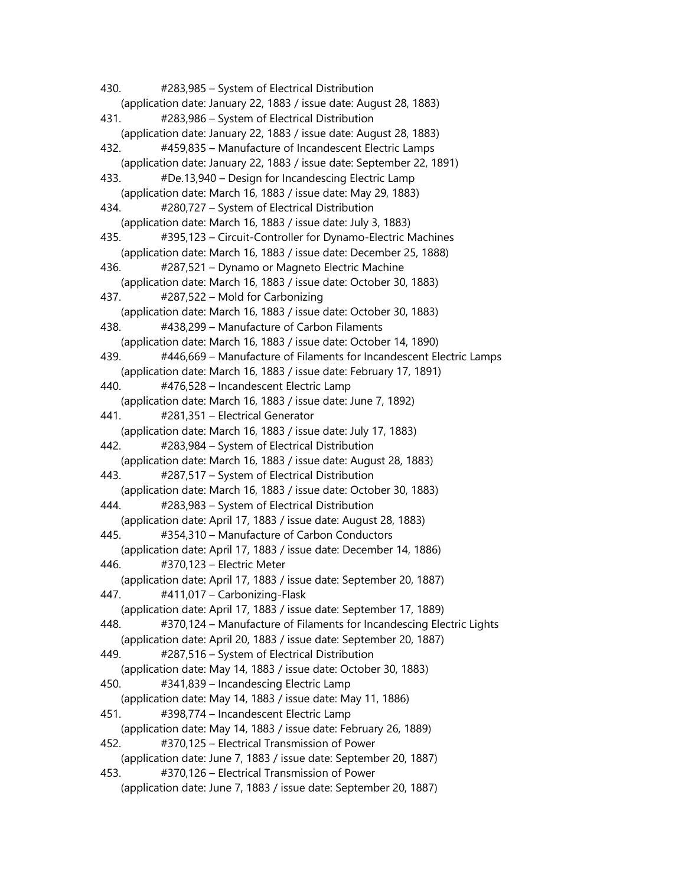430. #283,985 – System of Electrical Distribution (application date: January 22, 1883 / issue date: August 28, 1883) 431. #283,986 – System of Electrical Distribution (application date: January 22, 1883 / issue date: August 28, 1883) 432. #459,835 – Manufacture of Incandescent Electric Lamps (application date: January 22, 1883 / issue date: September 22, 1891) 433. #De.13,940 – Design for Incandescing Electric Lamp (application date: March 16, 1883 / issue date: May 29, 1883) 434. #280,727 – System of Electrical Distribution (application date: March 16, 1883 / issue date: July 3, 1883) 435. #395,123 – Circuit-Controller for Dynamo-Electric Machines (application date: March 16, 1883 / issue date: December 25, 1888) 436. #287,521 – Dynamo or Magneto Electric Machine (application date: March 16, 1883 / issue date: October 30, 1883) 437. #287,522 – Mold for Carbonizing (application date: March 16, 1883 / issue date: October 30, 1883) 438. #438,299 – Manufacture of Carbon Filaments (application date: March 16, 1883 / issue date: October 14, 1890) 439. #446,669 – Manufacture of Filaments for Incandescent Electric Lamps (application date: March 16, 1883 / issue date: February 17, 1891) 440. #476,528 – Incandescent Electric Lamp (application date: March 16, 1883 / issue date: June 7, 1892) 441. #281,351 – Electrical Generator (application date: March 16, 1883 / issue date: July 17, 1883) 442. #283,984 – System of Electrical Distribution (application date: March 16, 1883 / issue date: August 28, 1883) 443. #287,517 – System of Electrical Distribution (application date: March 16, 1883 / issue date: October 30, 1883) 444. #283,983 – System of Electrical Distribution (application date: April 17, 1883 / issue date: August 28, 1883) 445. #354,310 – Manufacture of Carbon Conductors (application date: April 17, 1883 / issue date: December 14, 1886) 446. #370,123 – Electric Meter (application date: April 17, 1883 / issue date: September 20, 1887) 447. #411,017 – Carbonizing-Flask (application date: April 17, 1883 / issue date: September 17, 1889) 448. #370,124 – Manufacture of Filaments for Incandescing Electric Lights (application date: April 20, 1883 / issue date: September 20, 1887) 449. #287,516 – System of Electrical Distribution (application date: May 14, 1883 / issue date: October 30, 1883) 450. #341,839 – Incandescing Electric Lamp (application date: May 14, 1883 / issue date: May 11, 1886) 451. #398,774 – Incandescent Electric Lamp (application date: May 14, 1883 / issue date: February 26, 1889) 452. #370,125 – Electrical Transmission of Power (application date: June 7, 1883 / issue date: September 20, 1887) 453. #370,126 – Electrical Transmission of Power (application date: June 7, 1883 / issue date: September 20, 1887)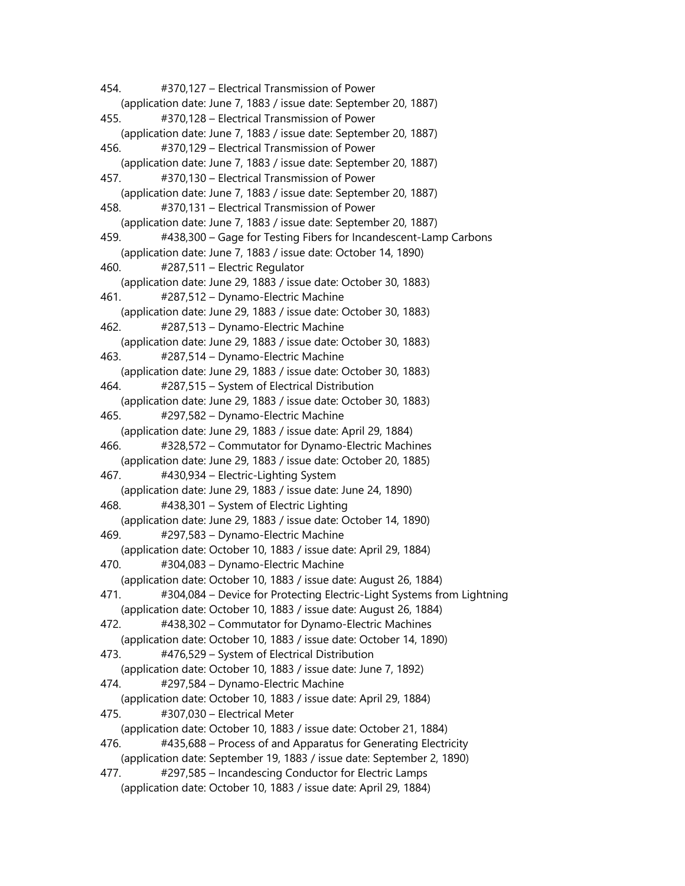454. #370,127 – Electrical Transmission of Power (application date: June 7, 1883 / issue date: September 20, 1887) 455. #370,128 – Electrical Transmission of Power (application date: June 7, 1883 / issue date: September 20, 1887) 456. #370,129 – Electrical Transmission of Power (application date: June 7, 1883 / issue date: September 20, 1887) 457. #370,130 – Electrical Transmission of Power (application date: June 7, 1883 / issue date: September 20, 1887) 458. #370,131 – Electrical Transmission of Power (application date: June 7, 1883 / issue date: September 20, 1887) 459. #438,300 – Gage for Testing Fibers for Incandescent-Lamp Carbons (application date: June 7, 1883 / issue date: October 14, 1890) 460. #287,511 – Electric Regulator (application date: June 29, 1883 / issue date: October 30, 1883) 461. #287,512 – Dynamo-Electric Machine (application date: June 29, 1883 / issue date: October 30, 1883) 462. #287,513 – Dynamo-Electric Machine (application date: June 29, 1883 / issue date: October 30, 1883) 463. #287,514 – Dynamo-Electric Machine (application date: June 29, 1883 / issue date: October 30, 1883) 464. #287,515 – System of Electrical Distribution (application date: June 29, 1883 / issue date: October 30, 1883) 465. #297,582 – Dynamo-Electric Machine (application date: June 29, 1883 / issue date: April 29, 1884) 466. #328,572 – Commutator for Dynamo-Electric Machines (application date: June 29, 1883 / issue date: October 20, 1885) 467. #430,934 – Electric-Lighting System (application date: June 29, 1883 / issue date: June 24, 1890) 468. #438,301 – System of Electric Lighting (application date: June 29, 1883 / issue date: October 14, 1890) 469. #297,583 – Dynamo-Electric Machine (application date: October 10, 1883 / issue date: April 29, 1884) 470. #304,083 – Dynamo-Electric Machine (application date: October 10, 1883 / issue date: August 26, 1884) 471. #304,084 – Device for Protecting Electric-Light Systems from Lightning (application date: October 10, 1883 / issue date: August 26, 1884) 472. #438,302 – Commutator for Dynamo-Electric Machines (application date: October 10, 1883 / issue date: October 14, 1890) 473. #476,529 – System of Electrical Distribution (application date: October 10, 1883 / issue date: June 7, 1892) 474. #297,584 – Dynamo-Electric Machine (application date: October 10, 1883 / issue date: April 29, 1884) 475. #307,030 – Electrical Meter (application date: October 10, 1883 / issue date: October 21, 1884) 476. #435,688 – Process of and Apparatus for Generating Electricity (application date: September 19, 1883 / issue date: September 2, 1890) 477. #297,585 – Incandescing Conductor for Electric Lamps (application date: October 10, 1883 / issue date: April 29, 1884)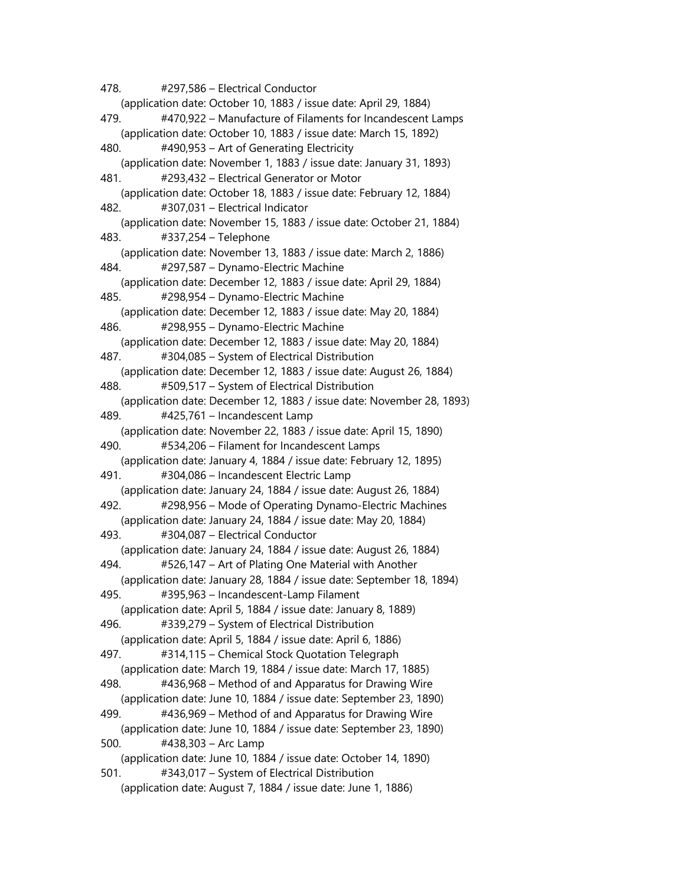478. #297,586 – Electrical Conductor (application date: October 10, 1883 / issue date: April 29, 1884) 479. #470,922 – Manufacture of Filaments for Incandescent Lamps (application date: October 10, 1883 / issue date: March 15, 1892) 480. #490,953 – Art of Generating Electricity (application date: November 1, 1883 / issue date: January 31, 1893) 481. #293,432 – Electrical Generator or Motor (application date: October 18, 1883 / issue date: February 12, 1884) 482. #307,031 – Electrical Indicator (application date: November 15, 1883 / issue date: October 21, 1884) 483. #337,254 – Telephone (application date: November 13, 1883 / issue date: March 2, 1886) 484. #297,587 – Dynamo-Electric Machine (application date: December 12, 1883 / issue date: April 29, 1884) 485. #298,954 – Dynamo-Electric Machine (application date: December 12, 1883 / issue date: May 20, 1884) 486. #298,955 – Dynamo-Electric Machine (application date: December 12, 1883 / issue date: May 20, 1884) 487. #304,085 – System of Electrical Distribution (application date: December 12, 1883 / issue date: August 26, 1884) 488. #509,517 – System of Electrical Distribution (application date: December 12, 1883 / issue date: November 28, 1893) 489. #425,761 – Incandescent Lamp (application date: November 22, 1883 / issue date: April 15, 1890) 490. #534,206 – Filament for Incandescent Lamps (application date: January 4, 1884 / issue date: February 12, 1895) 491. #304,086 – Incandescent Electric Lamp (application date: January 24, 1884 / issue date: August 26, 1884) 492. #298,956 – Mode of Operating Dynamo-Electric Machines (application date: January 24, 1884 / issue date: May 20, 1884) 493. #304,087 – Electrical Conductor (application date: January 24, 1884 / issue date: August 26, 1884) 494. #526,147 – Art of Plating One Material with Another (application date: January 28, 1884 / issue date: September 18, 1894) 495. #395,963 – Incandescent-Lamp Filament (application date: April 5, 1884 / issue date: January 8, 1889) 496. #339,279 – System of Electrical Distribution (application date: April 5, 1884 / issue date: April 6, 1886) 497. #314,115 – Chemical Stock Quotation Telegraph (application date: March 19, 1884 / issue date: March 17, 1885) 498. #436,968 – Method of and Apparatus for Drawing Wire (application date: June 10, 1884 / issue date: September 23, 1890) 499. #436,969 – Method of and Apparatus for Drawing Wire (application date: June 10, 1884 / issue date: September 23, 1890) 500. #438,303 – Arc Lamp (application date: June 10, 1884 / issue date: October 14, 1890) 501. #343,017 – System of Electrical Distribution (application date: August 7, 1884 / issue date: June 1, 1886)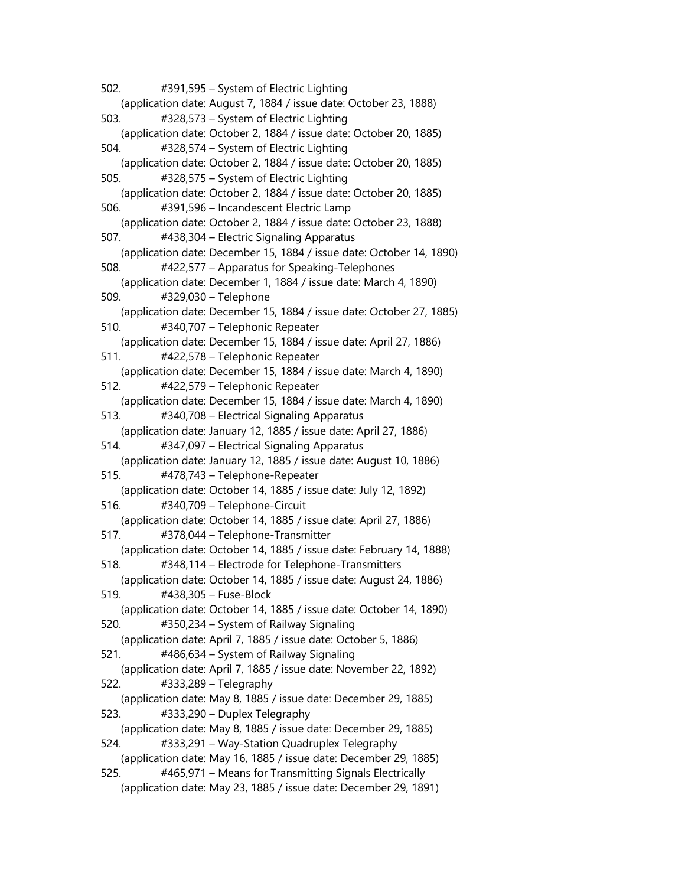502. #391,595 – System of Electric Lighting (application date: August 7, 1884 / issue date: October 23, 1888) 503. #328,573 – System of Electric Lighting (application date: October 2, 1884 / issue date: October 20, 1885) 504. #328,574 – System of Electric Lighting (application date: October 2, 1884 / issue date: October 20, 1885) 505. #328,575 – System of Electric Lighting (application date: October 2, 1884 / issue date: October 20, 1885) 506. #391,596 – Incandescent Electric Lamp (application date: October 2, 1884 / issue date: October 23, 1888) 507. #438,304 – Electric Signaling Apparatus (application date: December 15, 1884 / issue date: October 14, 1890) 508. #422,577 – Apparatus for Speaking-Telephones (application date: December 1, 1884 / issue date: March 4, 1890) 509. #329,030 – Telephone (application date: December 15, 1884 / issue date: October 27, 1885) 510. #340,707 – Telephonic Repeater (application date: December 15, 1884 / issue date: April 27, 1886) 511. #422,578 – Telephonic Repeater (application date: December 15, 1884 / issue date: March 4, 1890) 512. #422,579 – Telephonic Repeater (application date: December 15, 1884 / issue date: March 4, 1890) 513. #340,708 – Electrical Signaling Apparatus (application date: January 12, 1885 / issue date: April 27, 1886) 514. #347,097 – Electrical Signaling Apparatus (application date: January 12, 1885 / issue date: August 10, 1886) 515. #478,743 – Telephone-Repeater (application date: October 14, 1885 / issue date: July 12, 1892) 516. #340,709 – Telephone-Circuit (application date: October 14, 1885 / issue date: April 27, 1886) 517. #378,044 – Telephone-Transmitter (application date: October 14, 1885 / issue date: February 14, 1888) 518. #348,114 – Electrode for Telephone-Transmitters (application date: October 14, 1885 / issue date: August 24, 1886) 519. #438,305 – Fuse-Block (application date: October 14, 1885 / issue date: October 14, 1890) 520. #350,234 – System of Railway Signaling (application date: April 7, 1885 / issue date: October 5, 1886) 521. #486,634 – System of Railway Signaling (application date: April 7, 1885 / issue date: November 22, 1892) 522. #333,289 – Telegraphy (application date: May 8, 1885 / issue date: December 29, 1885) 523. #333,290 – Duplex Telegraphy (application date: May 8, 1885 / issue date: December 29, 1885) 524. #333,291 – Way-Station Quadruplex Telegraphy (application date: May 16, 1885 / issue date: December 29, 1885) 525. #465,971 – Means for Transmitting Signals Electrically (application date: May 23, 1885 / issue date: December 29, 1891)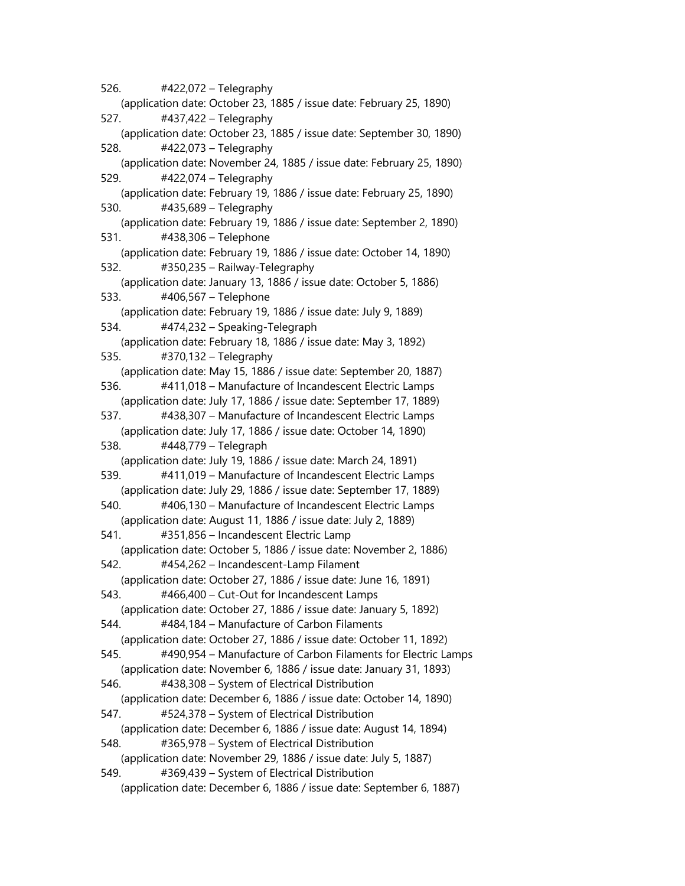526. #422,072 – Telegraphy (application date: October 23, 1885 / issue date: February 25, 1890) 527. #437,422 – Telegraphy (application date: October 23, 1885 / issue date: September 30, 1890) 528. #422,073 – Telegraphy (application date: November 24, 1885 / issue date: February 25, 1890) 529. #422,074 – Telegraphy (application date: February 19, 1886 / issue date: February 25, 1890) 530. #435,689 – Telegraphy (application date: February 19, 1886 / issue date: September 2, 1890) 531. #438,306 – Telephone (application date: February 19, 1886 / issue date: October 14, 1890) 532. #350,235 – Railway-Telegraphy (application date: January 13, 1886 / issue date: October 5, 1886) 533. #406,567 – Telephone (application date: February 19, 1886 / issue date: July 9, 1889) 534. #474,232 – Speaking-Telegraph (application date: February 18, 1886 / issue date: May 3, 1892) 535. #370,132 – Telegraphy (application date: May 15, 1886 / issue date: September 20, 1887) 536. #411,018 – Manufacture of Incandescent Electric Lamps (application date: July 17, 1886 / issue date: September 17, 1889) 537. #438,307 – Manufacture of Incandescent Electric Lamps (application date: July 17, 1886 / issue date: October 14, 1890) 538. #448,779 – Telegraph (application date: July 19, 1886 / issue date: March 24, 1891) 539. #411,019 – Manufacture of Incandescent Electric Lamps (application date: July 29, 1886 / issue date: September 17, 1889) 540. #406,130 – Manufacture of Incandescent Electric Lamps (application date: August 11, 1886 / issue date: July 2, 1889) 541. #351,856 – Incandescent Electric Lamp (application date: October 5, 1886 / issue date: November 2, 1886) 542. #454,262 – Incandescent-Lamp Filament (application date: October 27, 1886 / issue date: June 16, 1891) 543. #466,400 – Cut-Out for Incandescent Lamps (application date: October 27, 1886 / issue date: January 5, 1892) 544. #484,184 – Manufacture of Carbon Filaments (application date: October 27, 1886 / issue date: October 11, 1892) 545. #490,954 – Manufacture of Carbon Filaments for Electric Lamps (application date: November 6, 1886 / issue date: January 31, 1893) 546. #438,308 – System of Electrical Distribution (application date: December 6, 1886 / issue date: October 14, 1890) 547. #524,378 – System of Electrical Distribution (application date: December 6, 1886 / issue date: August 14, 1894) 548. #365,978 – System of Electrical Distribution (application date: November 29, 1886 / issue date: July 5, 1887) 549. #369,439 – System of Electrical Distribution (application date: December 6, 1886 / issue date: September 6, 1887)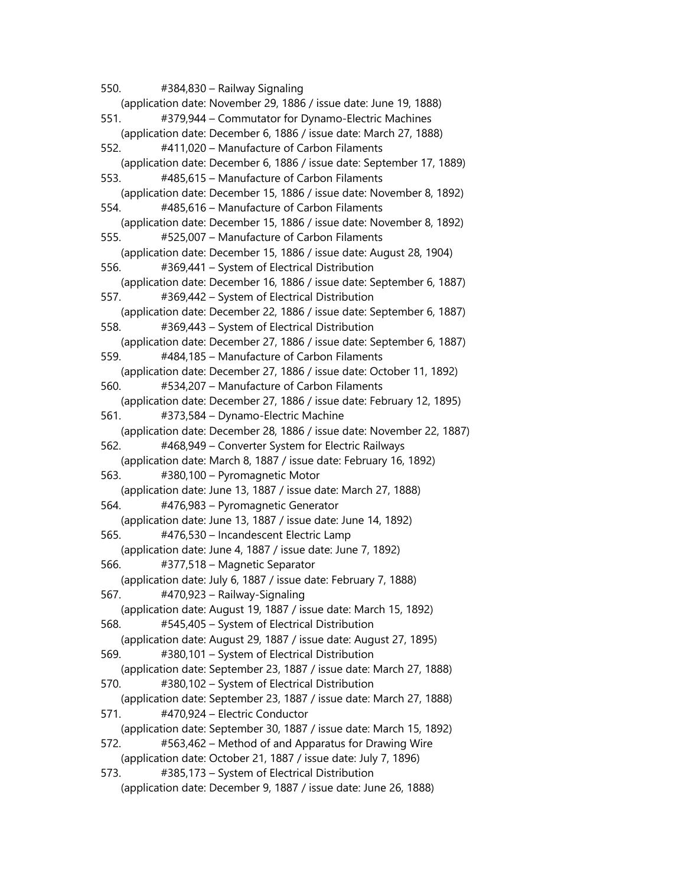550. #384,830 – Railway Signaling (application date: November 29, 1886 / issue date: June 19, 1888) 551. #379,944 – Commutator for Dynamo-Electric Machines (application date: December 6, 1886 / issue date: March 27, 1888) 552. #411,020 – Manufacture of Carbon Filaments (application date: December 6, 1886 / issue date: September 17, 1889) 553. #485,615 – Manufacture of Carbon Filaments (application date: December 15, 1886 / issue date: November 8, 1892) 554. #485,616 – Manufacture of Carbon Filaments (application date: December 15, 1886 / issue date: November 8, 1892) 555. #525,007 – Manufacture of Carbon Filaments (application date: December 15, 1886 / issue date: August 28, 1904) 556. #369,441 – System of Electrical Distribution (application date: December 16, 1886 / issue date: September 6, 1887) 557. #369,442 – System of Electrical Distribution (application date: December 22, 1886 / issue date: September 6, 1887) 558. #369,443 – System of Electrical Distribution (application date: December 27, 1886 / issue date: September 6, 1887) 559. #484,185 – Manufacture of Carbon Filaments (application date: December 27, 1886 / issue date: October 11, 1892) 560. #534,207 – Manufacture of Carbon Filaments (application date: December 27, 1886 / issue date: February 12, 1895) 561. #373,584 – Dynamo-Electric Machine (application date: December 28, 1886 / issue date: November 22, 1887) 562. #468,949 – Converter System for Electric Railways (application date: March 8, 1887 / issue date: February 16, 1892) 563. #380,100 – Pyromagnetic Motor (application date: June 13, 1887 / issue date: March 27, 1888) 564. #476,983 – Pyromagnetic Generator (application date: June 13, 1887 / issue date: June 14, 1892) 565. #476,530 – Incandescent Electric Lamp (application date: June 4, 1887 / issue date: June 7, 1892) 566. #377,518 – Magnetic Separator (application date: July 6, 1887 / issue date: February 7, 1888) 567. #470,923 – Railway-Signaling (application date: August 19, 1887 / issue date: March 15, 1892) 568. #545,405 – System of Electrical Distribution (application date: August 29, 1887 / issue date: August 27, 1895) 569. #380,101 – System of Electrical Distribution (application date: September 23, 1887 / issue date: March 27, 1888) 570. #380,102 – System of Electrical Distribution (application date: September 23, 1887 / issue date: March 27, 1888) 571. #470,924 – Electric Conductor (application date: September 30, 1887 / issue date: March 15, 1892) 572. #563,462 – Method of and Apparatus for Drawing Wire (application date: October 21, 1887 / issue date: July 7, 1896) 573. #385,173 – System of Electrical Distribution (application date: December 9, 1887 / issue date: June 26, 1888)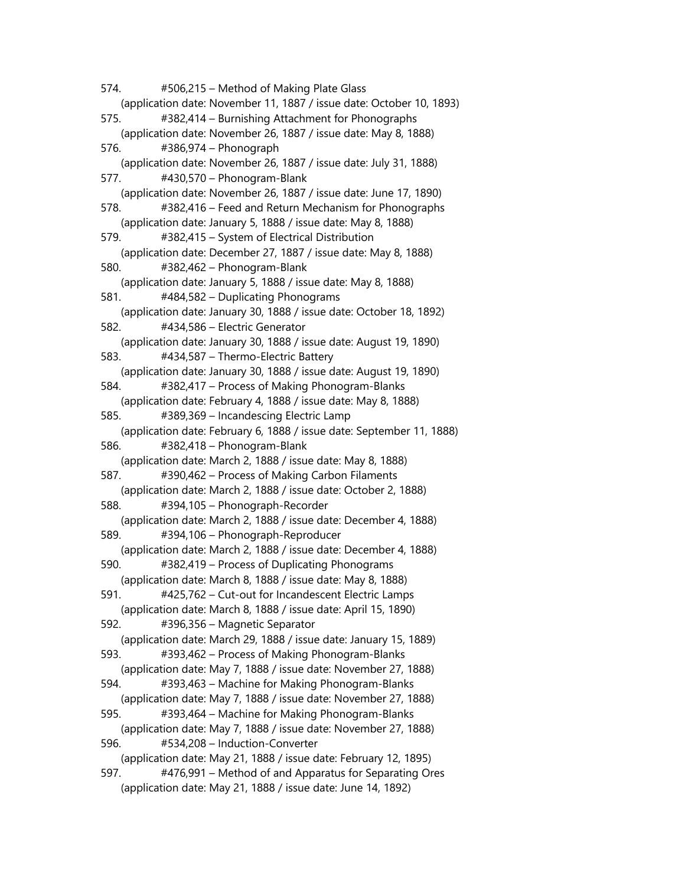574. #506,215 – Method of Making Plate Glass (application date: November 11, 1887 / issue date: October 10, 1893) 575. #382,414 – Burnishing Attachment for Phonographs (application date: November 26, 1887 / issue date: May 8, 1888) 576. #386,974 – Phonograph (application date: November 26, 1887 / issue date: July 31, 1888) 577. #430,570 – Phonogram-Blank (application date: November 26, 1887 / issue date: June 17, 1890) 578. #382,416 – Feed and Return Mechanism for Phonographs (application date: January 5, 1888 / issue date: May 8, 1888) 579. #382,415 – System of Electrical Distribution (application date: December 27, 1887 / issue date: May 8, 1888) 580. #382,462 – Phonogram-Blank (application date: January 5, 1888 / issue date: May 8, 1888) 581. #484,582 – Duplicating Phonograms (application date: January 30, 1888 / issue date: October 18, 1892) 582. #434,586 – Electric Generator (application date: January 30, 1888 / issue date: August 19, 1890) 583. #434,587 – Thermo-Electric Battery (application date: January 30, 1888 / issue date: August 19, 1890) 584. #382,417 – Process of Making Phonogram-Blanks (application date: February 4, 1888 / issue date: May 8, 1888) 585. #389,369 – Incandescing Electric Lamp (application date: February 6, 1888 / issue date: September 11, 1888) 586. #382,418 – Phonogram-Blank (application date: March 2, 1888 / issue date: May 8, 1888) 587. #390,462 – Process of Making Carbon Filaments (application date: March 2, 1888 / issue date: October 2, 1888) 588. #394,105 – Phonograph-Recorder (application date: March 2, 1888 / issue date: December 4, 1888) 589. #394,106 – Phonograph-Reproducer (application date: March 2, 1888 / issue date: December 4, 1888) 590. #382,419 – Process of Duplicating Phonograms (application date: March 8, 1888 / issue date: May 8, 1888) 591. #425,762 – Cut-out for Incandescent Electric Lamps (application date: March 8, 1888 / issue date: April 15, 1890) 592. #396,356 – Magnetic Separator (application date: March 29, 1888 / issue date: January 15, 1889) 593. #393,462 – Process of Making Phonogram-Blanks (application date: May 7, 1888 / issue date: November 27, 1888) 594. #393,463 – Machine for Making Phonogram-Blanks (application date: May 7, 1888 / issue date: November 27, 1888) 595. #393,464 – Machine for Making Phonogram-Blanks (application date: May 7, 1888 / issue date: November 27, 1888) 596. #534,208 – Induction-Converter (application date: May 21, 1888 / issue date: February 12, 1895) 597. #476,991 – Method of and Apparatus for Separating Ores (application date: May 21, 1888 / issue date: June 14, 1892)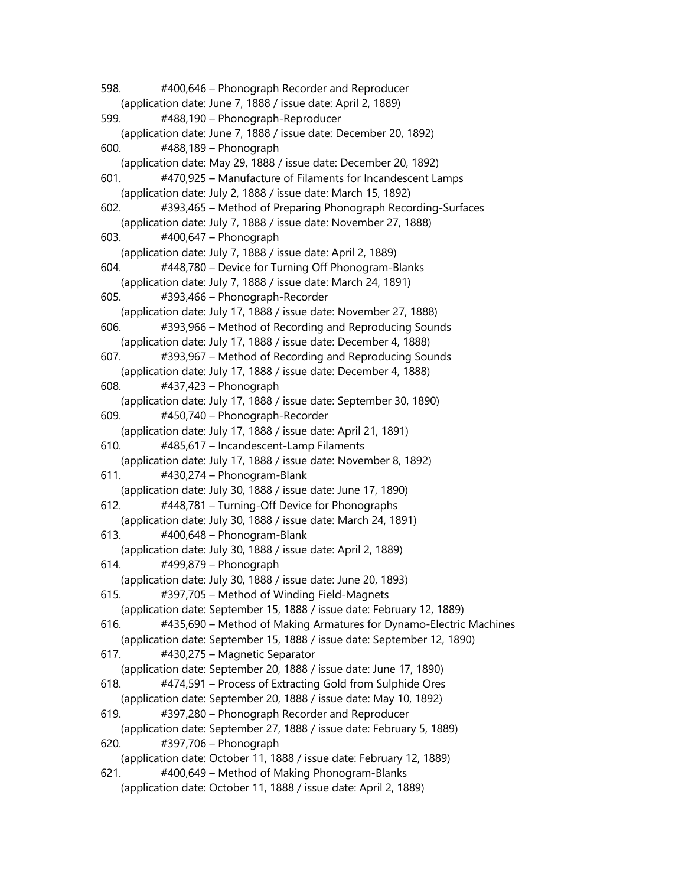598. #400,646 – Phonograph Recorder and Reproducer (application date: June 7, 1888 / issue date: April 2, 1889) 599. #488,190 – Phonograph-Reproducer (application date: June 7, 1888 / issue date: December 20, 1892) 600. #488,189 – Phonograph (application date: May 29, 1888 / issue date: December 20, 1892) 601. #470,925 – Manufacture of Filaments for Incandescent Lamps (application date: July 2, 1888 / issue date: March 15, 1892) 602. #393,465 – Method of Preparing Phonograph Recording-Surfaces (application date: July 7, 1888 / issue date: November 27, 1888) 603. #400,647 – Phonograph (application date: July 7, 1888 / issue date: April 2, 1889) 604. #448,780 – Device for Turning Off Phonogram-Blanks (application date: July 7, 1888 / issue date: March 24, 1891) 605. #393,466 – Phonograph-Recorder (application date: July 17, 1888 / issue date: November 27, 1888) 606. #393,966 – Method of Recording and Reproducing Sounds (application date: July 17, 1888 / issue date: December 4, 1888) 607. #393,967 – Method of Recording and Reproducing Sounds (application date: July 17, 1888 / issue date: December 4, 1888) 608. #437,423 – Phonograph (application date: July 17, 1888 / issue date: September 30, 1890) 609. #450,740 – Phonograph-Recorder (application date: July 17, 1888 / issue date: April 21, 1891) 610. #485,617 – Incandescent-Lamp Filaments (application date: July 17, 1888 / issue date: November 8, 1892) 611. #430,274 – Phonogram-Blank (application date: July 30, 1888 / issue date: June 17, 1890) 612. #448,781 – Turning-Off Device for Phonographs (application date: July 30, 1888 / issue date: March 24, 1891) 613. #400,648 – Phonogram-Blank (application date: July 30, 1888 / issue date: April 2, 1889) 614. #499,879 – Phonograph (application date: July 30, 1888 / issue date: June 20, 1893) 615. #397,705 – Method of Winding Field-Magnets (application date: September 15, 1888 / issue date: February 12, 1889) 616. #435,690 – Method of Making Armatures for Dynamo-Electric Machines (application date: September 15, 1888 / issue date: September 12, 1890) 617. #430,275 – Magnetic Separator (application date: September 20, 1888 / issue date: June 17, 1890) 618. #474,591 – Process of Extracting Gold from Sulphide Ores (application date: September 20, 1888 / issue date: May 10, 1892) 619. #397,280 – Phonograph Recorder and Reproducer (application date: September 27, 1888 / issue date: February 5, 1889) 620. #397,706 – Phonograph (application date: October 11, 1888 / issue date: February 12, 1889) 621. #400,649 – Method of Making Phonogram-Blanks (application date: October 11, 1888 / issue date: April 2, 1889)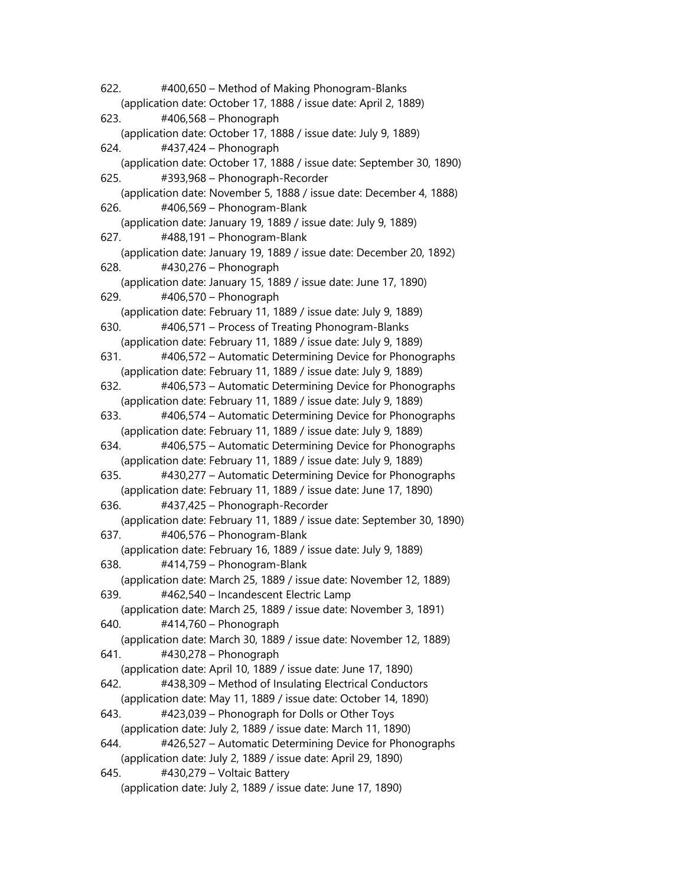622. #400,650 – Method of Making Phonogram-Blanks (application date: October 17, 1888 / issue date: April 2, 1889) 623. #406,568 – Phonograph (application date: October 17, 1888 / issue date: July 9, 1889) 624. #437,424 – Phonograph (application date: October 17, 1888 / issue date: September 30, 1890) 625. #393,968 – Phonograph-Recorder (application date: November 5, 1888 / issue date: December 4, 1888) 626. #406,569 – Phonogram-Blank (application date: January 19, 1889 / issue date: July 9, 1889) 627. #488,191 – Phonogram-Blank (application date: January 19, 1889 / issue date: December 20, 1892) 628. #430,276 – Phonograph (application date: January 15, 1889 / issue date: June 17, 1890) 629. #406,570 – Phonograph (application date: February 11, 1889 / issue date: July 9, 1889) 630. #406,571 – Process of Treating Phonogram-Blanks (application date: February 11, 1889 / issue date: July 9, 1889) 631. #406,572 – Automatic Determining Device for Phonographs (application date: February 11, 1889 / issue date: July 9, 1889) 632. #406,573 – Automatic Determining Device for Phonographs (application date: February 11, 1889 / issue date: July 9, 1889) 633. #406,574 – Automatic Determining Device for Phonographs (application date: February 11, 1889 / issue date: July 9, 1889) 634. #406,575 – Automatic Determining Device for Phonographs (application date: February 11, 1889 / issue date: July 9, 1889) 635. #430,277 – Automatic Determining Device for Phonographs (application date: February 11, 1889 / issue date: June 17, 1890) 636. #437,425 – Phonograph-Recorder (application date: February 11, 1889 / issue date: September 30, 1890) 637. #406,576 – Phonogram-Blank (application date: February 16, 1889 / issue date: July 9, 1889) 638. #414,759 – Phonogram-Blank (application date: March 25, 1889 / issue date: November 12, 1889) 639. #462,540 – Incandescent Electric Lamp (application date: March 25, 1889 / issue date: November 3, 1891) 640. #414,760 – Phonograph (application date: March 30, 1889 / issue date: November 12, 1889) 641. #430,278 – Phonograph (application date: April 10, 1889 / issue date: June 17, 1890) 642. #438,309 – Method of Insulating Electrical Conductors (application date: May 11, 1889 / issue date: October 14, 1890) 643. #423,039 – Phonograph for Dolls or Other Toys (application date: July 2, 1889 / issue date: March 11, 1890) 644. #426,527 – Automatic Determining Device for Phonographs (application date: July 2, 1889 / issue date: April 29, 1890) 645. #430,279 – Voltaic Battery (application date: July 2, 1889 / issue date: June 17, 1890)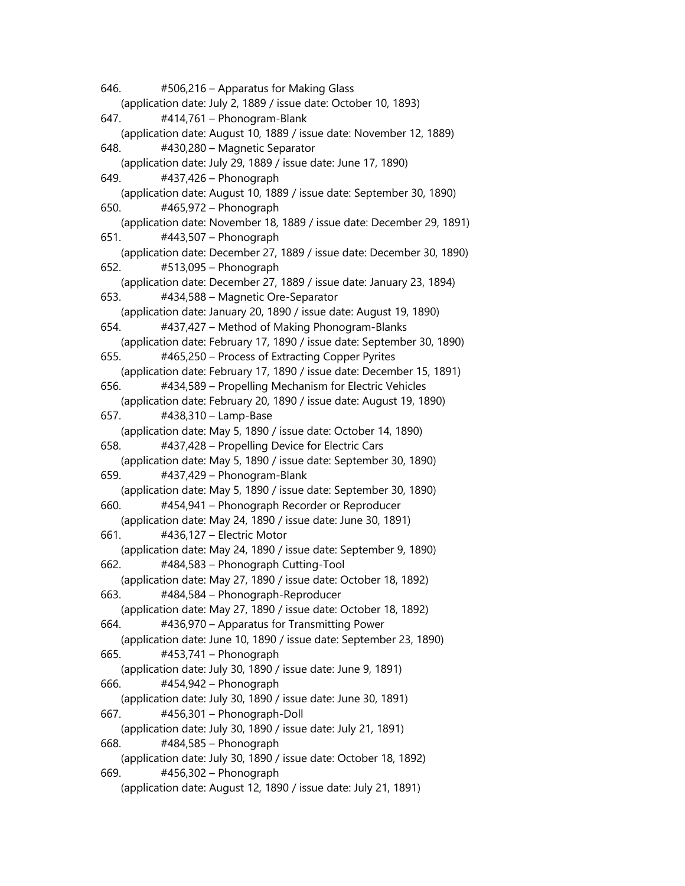646. #506,216 – Apparatus for Making Glass (application date: July 2, 1889 / issue date: October 10, 1893) 647. #414,761 – Phonogram-Blank (application date: August 10, 1889 / issue date: November 12, 1889) 648. #430,280 – Magnetic Separator (application date: July 29, 1889 / issue date: June 17, 1890) 649. #437,426 – Phonograph (application date: August 10, 1889 / issue date: September 30, 1890) 650. #465,972 – Phonograph (application date: November 18, 1889 / issue date: December 29, 1891) 651. #443,507 – Phonograph (application date: December 27, 1889 / issue date: December 30, 1890) 652. #513,095 – Phonograph (application date: December 27, 1889 / issue date: January 23, 1894) 653. #434,588 – Magnetic Ore-Separator (application date: January 20, 1890 / issue date: August 19, 1890) 654. #437,427 – Method of Making Phonogram-Blanks (application date: February 17, 1890 / issue date: September 30, 1890) 655. #465,250 – Process of Extracting Copper Pyrites (application date: February 17, 1890 / issue date: December 15, 1891) 656. #434,589 – Propelling Mechanism for Electric Vehicles (application date: February 20, 1890 / issue date: August 19, 1890) 657. #438,310 – Lamp-Base (application date: May 5, 1890 / issue date: October 14, 1890) 658. #437,428 – Propelling Device for Electric Cars (application date: May 5, 1890 / issue date: September 30, 1890) 659. #437,429 – Phonogram-Blank (application date: May 5, 1890 / issue date: September 30, 1890) 660. #454,941 – Phonograph Recorder or Reproducer (application date: May 24, 1890 / issue date: June 30, 1891) 661. #436,127 – Electric Motor (application date: May 24, 1890 / issue date: September 9, 1890) 662. #484,583 – Phonograph Cutting-Tool (application date: May 27, 1890 / issue date: October 18, 1892) 663. #484,584 – Phonograph-Reproducer (application date: May 27, 1890 / issue date: October 18, 1892) 664. #436,970 – Apparatus for Transmitting Power (application date: June 10, 1890 / issue date: September 23, 1890) 665. #453,741 – Phonograph (application date: July 30, 1890 / issue date: June 9, 1891) 666. #454,942 – Phonograph (application date: July 30, 1890 / issue date: June 30, 1891) 667. #456,301 – Phonograph-Doll (application date: July 30, 1890 / issue date: July 21, 1891) 668. #484,585 – Phonograph (application date: July 30, 1890 / issue date: October 18, 1892) 669. #456,302 – Phonograph (application date: August 12, 1890 / issue date: July 21, 1891)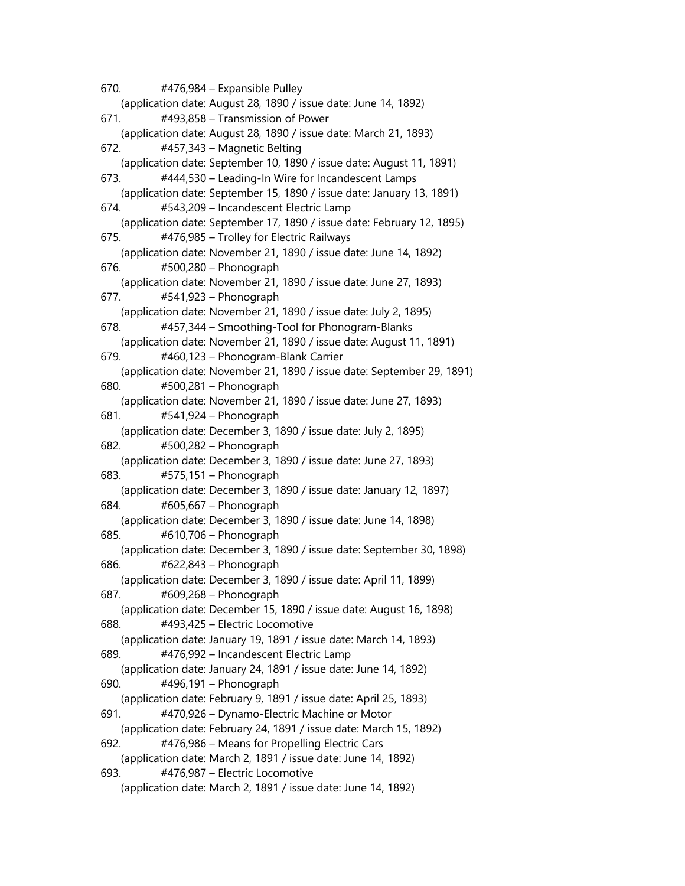670. #476,984 – Expansible Pulley (application date: August 28, 1890 / issue date: June 14, 1892) 671. #493,858 – Transmission of Power (application date: August 28, 1890 / issue date: March 21, 1893) 672. #457,343 – Magnetic Belting (application date: September 10, 1890 / issue date: August 11, 1891) 673. #444,530 – Leading-In Wire for Incandescent Lamps (application date: September 15, 1890 / issue date: January 13, 1891) 674. #543,209 – Incandescent Electric Lamp (application date: September 17, 1890 / issue date: February 12, 1895) 675. #476,985 – Trolley for Electric Railways (application date: November 21, 1890 / issue date: June 14, 1892) 676. #500,280 – Phonograph (application date: November 21, 1890 / issue date: June 27, 1893) 677. #541,923 – Phonograph (application date: November 21, 1890 / issue date: July 2, 1895) 678. #457,344 – Smoothing-Tool for Phonogram-Blanks (application date: November 21, 1890 / issue date: August 11, 1891) 679. #460,123 – Phonogram-Blank Carrier (application date: November 21, 1890 / issue date: September 29, 1891) 680. #500,281 – Phonograph (application date: November 21, 1890 / issue date: June 27, 1893) 681. #541,924 – Phonograph (application date: December 3, 1890 / issue date: July 2, 1895) 682. #500,282 – Phonograph (application date: December 3, 1890 / issue date: June 27, 1893) 683. #575,151 – Phonograph (application date: December 3, 1890 / issue date: January 12, 1897) 684. #605,667 – Phonograph (application date: December 3, 1890 / issue date: June 14, 1898) 685. #610,706 – Phonograph (application date: December 3, 1890 / issue date: September 30, 1898) 686. #622,843 – Phonograph (application date: December 3, 1890 / issue date: April 11, 1899) 687. #609,268 – Phonograph (application date: December 15, 1890 / issue date: August 16, 1898) 688. #493,425 – Electric Locomotive (application date: January 19, 1891 / issue date: March 14, 1893) 689. #476,992 – Incandescent Electric Lamp (application date: January 24, 1891 / issue date: June 14, 1892) 690. #496,191 – Phonograph (application date: February 9, 1891 / issue date: April 25, 1893) 691. #470,926 – Dynamo-Electric Machine or Motor (application date: February 24, 1891 / issue date: March 15, 1892) 692. #476,986 – Means for Propelling Electric Cars (application date: March 2, 1891 / issue date: June 14, 1892) 693. #476,987 – Electric Locomotive (application date: March 2, 1891 / issue date: June 14, 1892)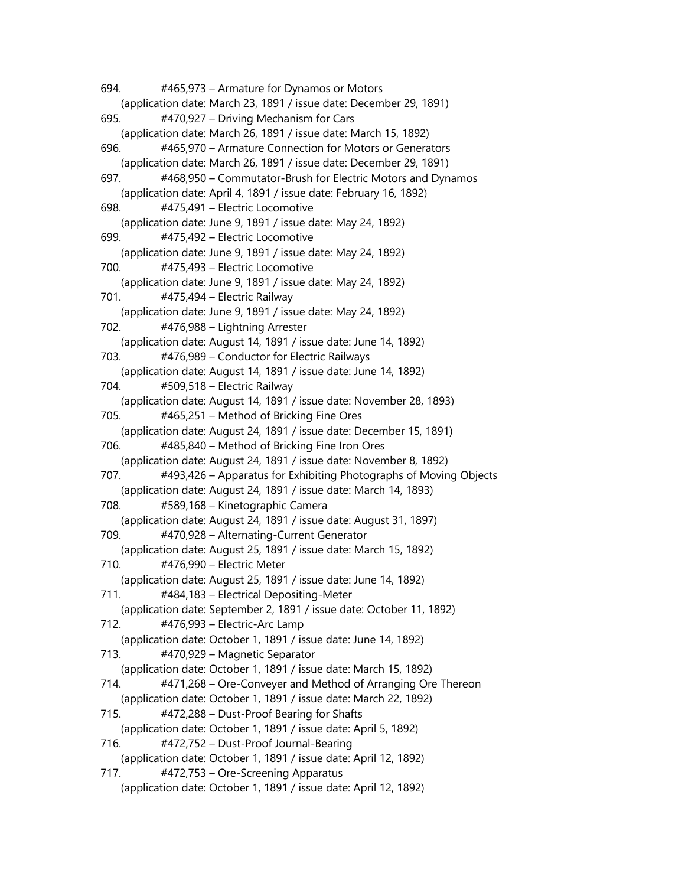694. #465,973 – Armature for Dynamos or Motors (application date: March 23, 1891 / issue date: December 29, 1891) 695. #470,927 – Driving Mechanism for Cars (application date: March 26, 1891 / issue date: March 15, 1892) 696. #465,970 – Armature Connection for Motors or Generators (application date: March 26, 1891 / issue date: December 29, 1891) 697. #468,950 – Commutator-Brush for Electric Motors and Dynamos (application date: April 4, 1891 / issue date: February 16, 1892) 698. #475,491 – Electric Locomotive (application date: June 9, 1891 / issue date: May 24, 1892) 699. #475,492 – Electric Locomotive (application date: June 9, 1891 / issue date: May 24, 1892) 700. #475,493 – Electric Locomotive (application date: June 9, 1891 / issue date: May 24, 1892) 701. #475,494 – Electric Railway (application date: June 9, 1891 / issue date: May 24, 1892) 702. #476,988 – Lightning Arrester (application date: August 14, 1891 / issue date: June 14, 1892) 703. #476,989 – Conductor for Electric Railways (application date: August 14, 1891 / issue date: June 14, 1892) 704. #509,518 – Electric Railway (application date: August 14, 1891 / issue date: November 28, 1893) 705. #465,251 – Method of Bricking Fine Ores (application date: August 24, 1891 / issue date: December 15, 1891) 706. #485,840 – Method of Bricking Fine Iron Ores (application date: August 24, 1891 / issue date: November 8, 1892) 707. #493,426 – Apparatus for Exhibiting Photographs of Moving Objects (application date: August 24, 1891 / issue date: March 14, 1893) 708. #589,168 – Kinetographic Camera (application date: August 24, 1891 / issue date: August 31, 1897) 709. #470,928 – Alternating-Current Generator (application date: August 25, 1891 / issue date: March 15, 1892) 710. #476,990 – Electric Meter (application date: August 25, 1891 / issue date: June 14, 1892) 711. #484,183 – Electrical Depositing-Meter (application date: September 2, 1891 / issue date: October 11, 1892) 712. #476,993 – Electric-Arc Lamp (application date: October 1, 1891 / issue date: June 14, 1892) 713. #470,929 – Magnetic Separator (application date: October 1, 1891 / issue date: March 15, 1892) 714. #471,268 – Ore-Conveyer and Method of Arranging Ore Thereon (application date: October 1, 1891 / issue date: March 22, 1892) 715. #472,288 – Dust-Proof Bearing for Shafts (application date: October 1, 1891 / issue date: April 5, 1892) 716. #472,752 – Dust-Proof Journal-Bearing (application date: October 1, 1891 / issue date: April 12, 1892) 717. #472,753 – Ore-Screening Apparatus (application date: October 1, 1891 / issue date: April 12, 1892)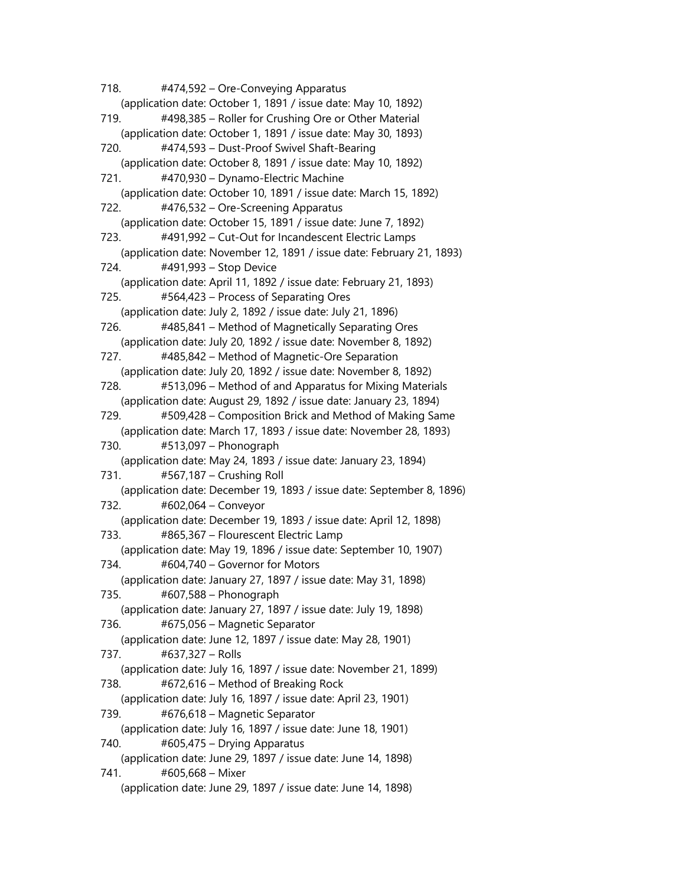718. #474,592 – Ore-Conveying Apparatus (application date: October 1, 1891 / issue date: May 10, 1892) 719. #498,385 – Roller for Crushing Ore or Other Material (application date: October 1, 1891 / issue date: May 30, 1893) 720. #474,593 – Dust-Proof Swivel Shaft-Bearing (application date: October 8, 1891 / issue date: May 10, 1892) 721. #470,930 – Dynamo-Electric Machine (application date: October 10, 1891 / issue date: March 15, 1892) 722. #476,532 – Ore-Screening Apparatus (application date: October 15, 1891 / issue date: June 7, 1892) 723. #491,992 – Cut-Out for Incandescent Electric Lamps (application date: November 12, 1891 / issue date: February 21, 1893) 724. #491,993 – Stop Device (application date: April 11, 1892 / issue date: February 21, 1893) 725. #564,423 – Process of Separating Ores (application date: July 2, 1892 / issue date: July 21, 1896) 726. #485,841 – Method of Magnetically Separating Ores (application date: July 20, 1892 / issue date: November 8, 1892) 727. #485,842 – Method of Magnetic-Ore Separation (application date: July 20, 1892 / issue date: November 8, 1892) 728. #513,096 – Method of and Apparatus for Mixing Materials (application date: August 29, 1892 / issue date: January 23, 1894) 729. #509,428 – Composition Brick and Method of Making Same (application date: March 17, 1893 / issue date: November 28, 1893) 730. #513,097 – Phonograph (application date: May 24, 1893 / issue date: January 23, 1894) 731. #567,187 – Crushing Roll (application date: December 19, 1893 / issue date: September 8, 1896) 732. #602,064 – Conveyor (application date: December 19, 1893 / issue date: April 12, 1898) 733. #865,367 – Flourescent Electric Lamp (application date: May 19, 1896 / issue date: September 10, 1907) 734. #604,740 – Governor for Motors (application date: January 27, 1897 / issue date: May 31, 1898) 735. #607,588 – Phonograph (application date: January 27, 1897 / issue date: July 19, 1898) 736. #675,056 – Magnetic Separator (application date: June 12, 1897 / issue date: May 28, 1901) 737. #637,327 – Rolls (application date: July 16, 1897 / issue date: November 21, 1899) 738. #672,616 – Method of Breaking Rock (application date: July 16, 1897 / issue date: April 23, 1901) 739. #676,618 – Magnetic Separator (application date: July 16, 1897 / issue date: June 18, 1901) 740. #605,475 – Drying Apparatus (application date: June 29, 1897 / issue date: June 14, 1898) 741. #605,668 – Mixer (application date: June 29, 1897 / issue date: June 14, 1898)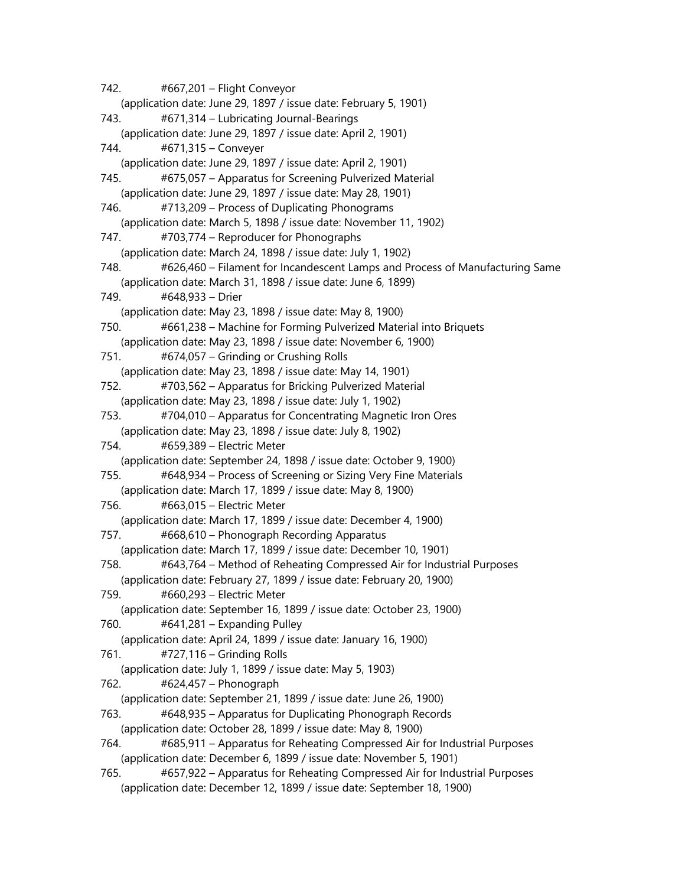742. #667,201 – Flight Conveyor (application date: June 29, 1897 / issue date: February 5, 1901) 743. #671,314 – Lubricating Journal-Bearings (application date: June 29, 1897 / issue date: April 2, 1901) 744. #671,315 – Conveyer (application date: June 29, 1897 / issue date: April 2, 1901) 745. #675,057 – Apparatus for Screening Pulverized Material (application date: June 29, 1897 / issue date: May 28, 1901) 746. #713,209 – Process of Duplicating Phonograms (application date: March 5, 1898 / issue date: November 11, 1902) 747. #703,774 – Reproducer for Phonographs (application date: March 24, 1898 / issue date: July 1, 1902) 748. #626,460 – Filament for Incandescent Lamps and Process of Manufacturing Same (application date: March 31, 1898 / issue date: June 6, 1899) 749. #648,933 – Drier (application date: May 23, 1898 / issue date: May 8, 1900) 750. #661,238 – Machine for Forming Pulverized Material into Briquets (application date: May 23, 1898 / issue date: November 6, 1900) 751. #674,057 – Grinding or Crushing Rolls (application date: May 23, 1898 / issue date: May 14, 1901) 752. #703,562 – Apparatus for Bricking Pulverized Material (application date: May 23, 1898 / issue date: July 1, 1902) 753. #704,010 – Apparatus for Concentrating Magnetic Iron Ores (application date: May 23, 1898 / issue date: July 8, 1902) 754. #659,389 – Electric Meter (application date: September 24, 1898 / issue date: October 9, 1900) 755. #648,934 – Process of Screening or Sizing Very Fine Materials (application date: March 17, 1899 / issue date: May 8, 1900) 756. #663,015 – Electric Meter (application date: March 17, 1899 / issue date: December 4, 1900) 757. #668,610 – Phonograph Recording Apparatus (application date: March 17, 1899 / issue date: December 10, 1901) 758. #643,764 – Method of Reheating Compressed Air for Industrial Purposes (application date: February 27, 1899 / issue date: February 20, 1900) 759. #660,293 – Electric Meter (application date: September 16, 1899 / issue date: October 23, 1900) 760. #641,281 – Expanding Pulley (application date: April 24, 1899 / issue date: January 16, 1900) 761. #727,116 – Grinding Rolls (application date: July 1, 1899 / issue date: May 5, 1903) 762. #624,457 – Phonograph (application date: September 21, 1899 / issue date: June 26, 1900) 763. #648,935 – Apparatus for Duplicating Phonograph Records (application date: October 28, 1899 / issue date: May 8, 1900) 764. #685,911 – Apparatus for Reheating Compressed Air for Industrial Purposes (application date: December 6, 1899 / issue date: November 5, 1901) 765. #657,922 – Apparatus for Reheating Compressed Air for Industrial Purposes (application date: December 12, 1899 / issue date: September 18, 1900)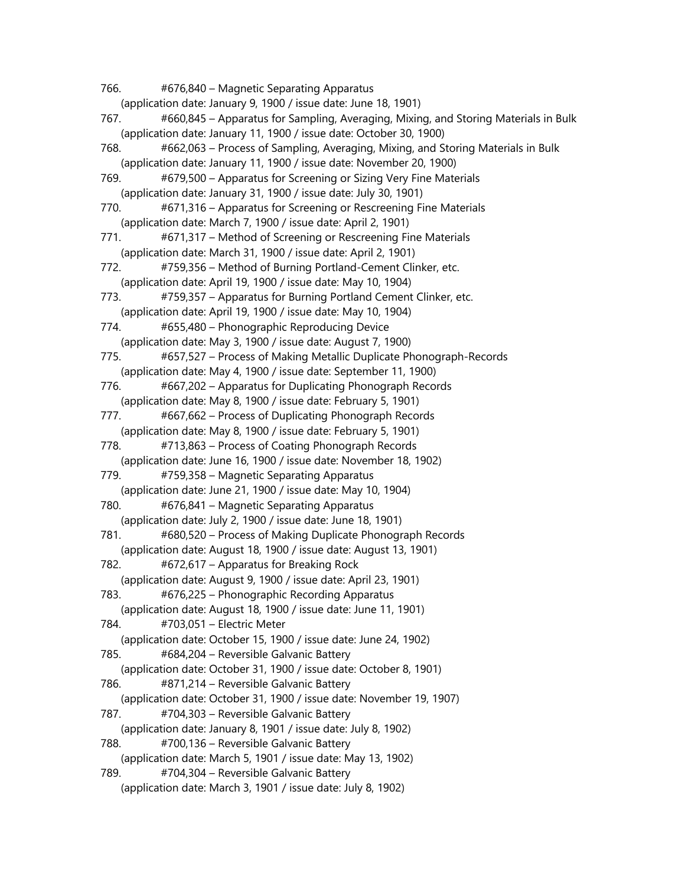766. #676,840 – Magnetic Separating Apparatus (application date: January 9, 1900 / issue date: June 18, 1901) 767. #660,845 – Apparatus for Sampling, Averaging, Mixing, and Storing Materials in Bulk (application date: January 11, 1900 / issue date: October 30, 1900) 768. #662,063 – Process of Sampling, Averaging, Mixing, and Storing Materials in Bulk (application date: January 11, 1900 / issue date: November 20, 1900) 769. #679,500 – Apparatus for Screening or Sizing Very Fine Materials (application date: January 31, 1900 / issue date: July 30, 1901) 770. #671,316 – Apparatus for Screening or Rescreening Fine Materials (application date: March 7, 1900 / issue date: April 2, 1901) 771. #671,317 – Method of Screening or Rescreening Fine Materials (application date: March 31, 1900 / issue date: April 2, 1901) 772. #759,356 – Method of Burning Portland-Cement Clinker, etc. (application date: April 19, 1900 / issue date: May 10, 1904) 773. #759,357 – Apparatus for Burning Portland Cement Clinker, etc. (application date: April 19, 1900 / issue date: May 10, 1904) 774. #655,480 – Phonographic Reproducing Device (application date: May 3, 1900 / issue date: August 7, 1900) 775. #657,527 – Process of Making Metallic Duplicate Phonograph-Records (application date: May 4, 1900 / issue date: September 11, 1900) 776. #667,202 – Apparatus for Duplicating Phonograph Records (application date: May 8, 1900 / issue date: February 5, 1901) 777. #667,662 – Process of Duplicating Phonograph Records (application date: May 8, 1900 / issue date: February 5, 1901) 778. #713,863 – Process of Coating Phonograph Records (application date: June 16, 1900 / issue date: November 18, 1902) 779. #759,358 – Magnetic Separating Apparatus (application date: June 21, 1900 / issue date: May 10, 1904) 780. #676,841 – Magnetic Separating Apparatus (application date: July 2, 1900 / issue date: June 18, 1901) 781. #680,520 – Process of Making Duplicate Phonograph Records (application date: August 18, 1900 / issue date: August 13, 1901) 782. #672,617 – Apparatus for Breaking Rock (application date: August 9, 1900 / issue date: April 23, 1901) 783. #676,225 – Phonographic Recording Apparatus (application date: August 18, 1900 / issue date: June 11, 1901) 784. #703,051 – Electric Meter (application date: October 15, 1900 / issue date: June 24, 1902) 785. #684,204 – Reversible Galvanic Battery (application date: October 31, 1900 / issue date: October 8, 1901) 786. #871,214 – Reversible Galvanic Battery (application date: October 31, 1900 / issue date: November 19, 1907) 787. #704,303 – Reversible Galvanic Battery (application date: January 8, 1901 / issue date: July 8, 1902) 788. #700,136 – Reversible Galvanic Battery (application date: March 5, 1901 / issue date: May 13, 1902) 789. #704,304 – Reversible Galvanic Battery (application date: March 3, 1901 / issue date: July 8, 1902)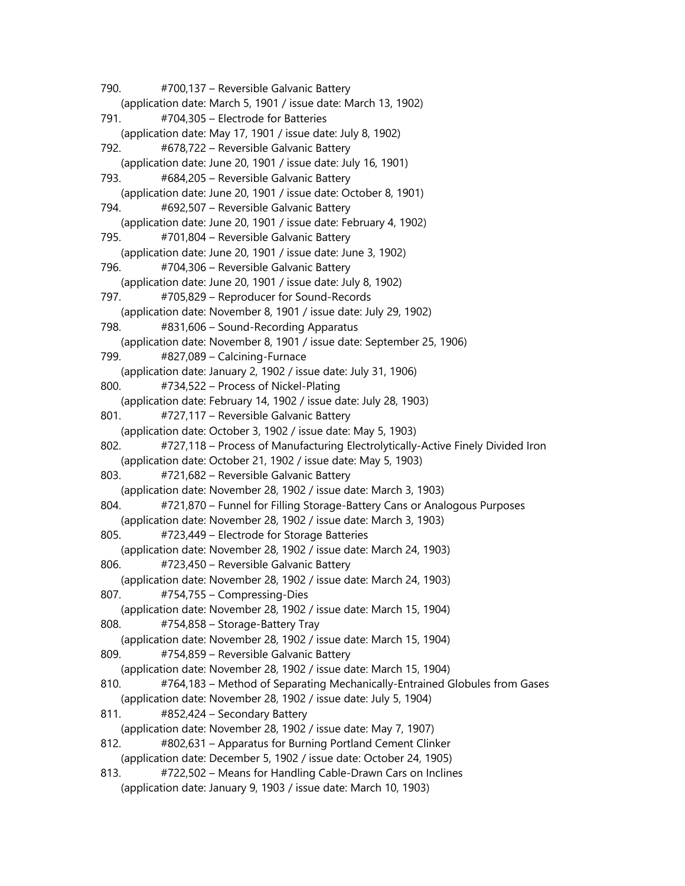790. #700,137 – Reversible Galvanic Battery (application date: March 5, 1901 / issue date: March 13, 1902) 791. #704,305 – Electrode for Batteries (application date: May 17, 1901 / issue date: July 8, 1902) 792. #678,722 – Reversible Galvanic Battery (application date: June 20, 1901 / issue date: July 16, 1901) 793. #684,205 – Reversible Galvanic Battery (application date: June 20, 1901 / issue date: October 8, 1901) 794. #692,507 – Reversible Galvanic Battery (application date: June 20, 1901 / issue date: February 4, 1902) 795. #701,804 – Reversible Galvanic Battery (application date: June 20, 1901 / issue date: June 3, 1902) 796. #704,306 – Reversible Galvanic Battery (application date: June 20, 1901 / issue date: July 8, 1902) 797. #705,829 – Reproducer for Sound-Records (application date: November 8, 1901 / issue date: July 29, 1902) 798. #831,606 – Sound-Recording Apparatus (application date: November 8, 1901 / issue date: September 25, 1906) 799. #827,089 – Calcining-Furnace (application date: January 2, 1902 / issue date: July 31, 1906) 800. #734,522 – Process of Nickel-Plating (application date: February 14, 1902 / issue date: July 28, 1903) 801. #727,117 – Reversible Galvanic Battery (application date: October 3, 1902 / issue date: May 5, 1903) 802. #727,118 – Process of Manufacturing Electrolytically-Active Finely Divided Iron (application date: October 21, 1902 / issue date: May 5, 1903) 803. #721,682 – Reversible Galvanic Battery (application date: November 28, 1902 / issue date: March 3, 1903) 804. #721,870 – Funnel for Filling Storage-Battery Cans or Analogous Purposes (application date: November 28, 1902 / issue date: March 3, 1903) 805. #723,449 – Electrode for Storage Batteries (application date: November 28, 1902 / issue date: March 24, 1903) 806. #723,450 – Reversible Galvanic Battery (application date: November 28, 1902 / issue date: March 24, 1903) 807. #754,755 – Compressing-Dies (application date: November 28, 1902 / issue date: March 15, 1904) 808. #754,858 – Storage-Battery Tray (application date: November 28, 1902 / issue date: March 15, 1904) 809. #754,859 – Reversible Galvanic Battery (application date: November 28, 1902 / issue date: March 15, 1904) 810. #764,183 – Method of Separating Mechanically-Entrained Globules from Gases (application date: November 28, 1902 / issue date: July 5, 1904) 811. #852,424 – Secondary Battery (application date: November 28, 1902 / issue date: May 7, 1907) 812. #802,631 – Apparatus for Burning Portland Cement Clinker (application date: December 5, 1902 / issue date: October 24, 1905) 813. #722,502 – Means for Handling Cable-Drawn Cars on Inclines (application date: January 9, 1903 / issue date: March 10, 1903)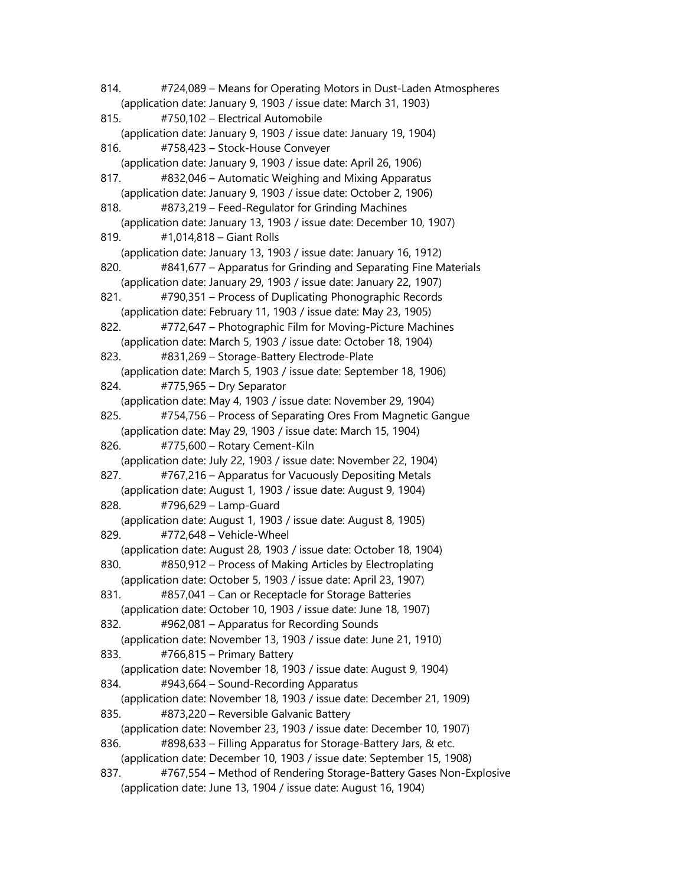814. #724,089 – Means for Operating Motors in Dust-Laden Atmospheres (application date: January 9, 1903 / issue date: March 31, 1903) 815. #750,102 – Electrical Automobile (application date: January 9, 1903 / issue date: January 19, 1904) 816. #758,423 – Stock-House Conveyer (application date: January 9, 1903 / issue date: April 26, 1906) 817. #832,046 – Automatic Weighing and Mixing Apparatus (application date: January 9, 1903 / issue date: October 2, 1906) 818. #873,219 – Feed-Regulator for Grinding Machines (application date: January 13, 1903 / issue date: December 10, 1907) 819. #1,014,818 – Giant Rolls (application date: January 13, 1903 / issue date: January 16, 1912) 820. #841,677 – Apparatus for Grinding and Separating Fine Materials (application date: January 29, 1903 / issue date: January 22, 1907) 821. #790,351 – Process of Duplicating Phonographic Records (application date: February 11, 1903 / issue date: May 23, 1905) 822. #772,647 – Photographic Film for Moving-Picture Machines (application date: March 5, 1903 / issue date: October 18, 1904) 823. #831,269 – Storage-Battery Electrode-Plate (application date: March 5, 1903 / issue date: September 18, 1906) 824. #775,965 – Dry Separator (application date: May 4, 1903 / issue date: November 29, 1904) 825. #754,756 – Process of Separating Ores From Magnetic Gangue (application date: May 29, 1903 / issue date: March 15, 1904) 826. #775,600 – Rotary Cement-Kiln (application date: July 22, 1903 / issue date: November 22, 1904) 827. #767,216 – Apparatus for Vacuously Depositing Metals (application date: August 1, 1903 / issue date: August 9, 1904) 828. #796,629 – Lamp-Guard (application date: August 1, 1903 / issue date: August 8, 1905) 829. #772,648 – Vehicle-Wheel (application date: August 28, 1903 / issue date: October 18, 1904) 830. #850,912 – Process of Making Articles by Electroplating (application date: October 5, 1903 / issue date: April 23, 1907) 831. #857,041 – Can or Receptacle for Storage Batteries (application date: October 10, 1903 / issue date: June 18, 1907) 832. #962,081 – Apparatus for Recording Sounds (application date: November 13, 1903 / issue date: June 21, 1910) 833. #766,815 – Primary Battery (application date: November 18, 1903 / issue date: August 9, 1904) 834. #943,664 – Sound-Recording Apparatus (application date: November 18, 1903 / issue date: December 21, 1909) 835. #873,220 – Reversible Galvanic Battery (application date: November 23, 1903 / issue date: December 10, 1907) 836. #898,633 – Filling Apparatus for Storage-Battery Jars, & etc. (application date: December 10, 1903 / issue date: September 15, 1908) 837. #767,554 – Method of Rendering Storage-Battery Gases Non-Explosive (application date: June 13, 1904 / issue date: August 16, 1904)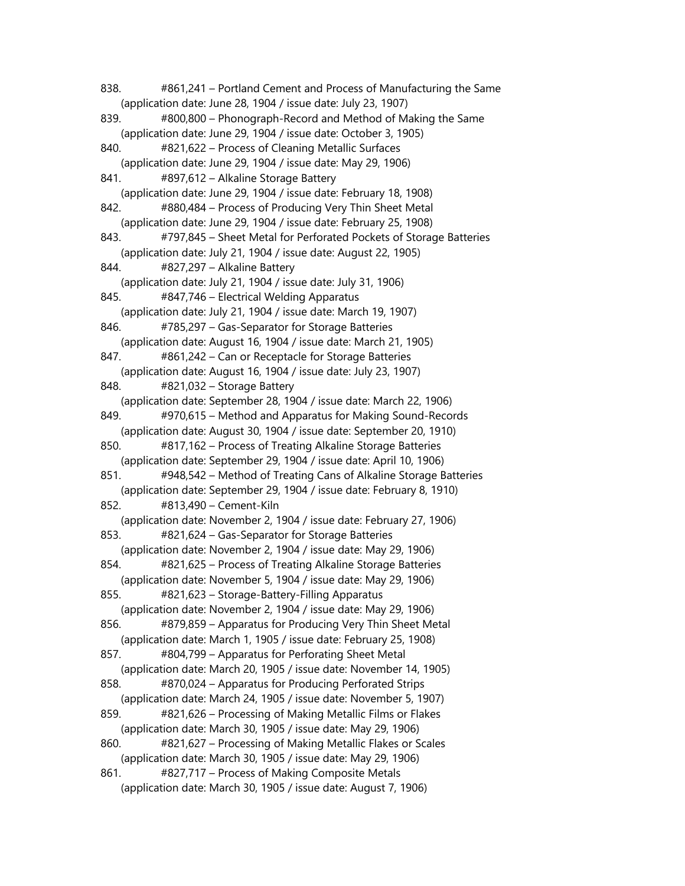838. #861,241 – Portland Cement and Process of Manufacturing the Same (application date: June 28, 1904 / issue date: July 23, 1907) 839. #800,800 – Phonograph-Record and Method of Making the Same (application date: June 29, 1904 / issue date: October 3, 1905) 840. #821,622 – Process of Cleaning Metallic Surfaces (application date: June 29, 1904 / issue date: May 29, 1906) 841. #897,612 – Alkaline Storage Battery (application date: June 29, 1904 / issue date: February 18, 1908) 842. #880,484 – Process of Producing Very Thin Sheet Metal (application date: June 29, 1904 / issue date: February 25, 1908) 843. #797,845 – Sheet Metal for Perforated Pockets of Storage Batteries (application date: July 21, 1904 / issue date: August 22, 1905) 844. #827,297 – Alkaline Battery (application date: July 21, 1904 / issue date: July 31, 1906) 845. #847,746 – Electrical Welding Apparatus (application date: July 21, 1904 / issue date: March 19, 1907) 846. #785,297 – Gas-Separator for Storage Batteries (application date: August 16, 1904 / issue date: March 21, 1905) 847. #861,242 – Can or Receptacle for Storage Batteries (application date: August 16, 1904 / issue date: July 23, 1907) 848. #821,032 – Storage Battery (application date: September 28, 1904 / issue date: March 22, 1906) 849. #970,615 – Method and Apparatus for Making Sound-Records (application date: August 30, 1904 / issue date: September 20, 1910) 850. #817,162 – Process of Treating Alkaline Storage Batteries (application date: September 29, 1904 / issue date: April 10, 1906) 851. #948,542 – Method of Treating Cans of Alkaline Storage Batteries (application date: September 29, 1904 / issue date: February 8, 1910) 852. #813,490 – Cement-Kiln (application date: November 2, 1904 / issue date: February 27, 1906) 853. #821,624 – Gas-Separator for Storage Batteries (application date: November 2, 1904 / issue date: May 29, 1906) 854. #821,625 – Process of Treating Alkaline Storage Batteries (application date: November 5, 1904 / issue date: May 29, 1906) 855. #821,623 – Storage-Battery-Filling Apparatus (application date: November 2, 1904 / issue date: May 29, 1906) 856. #879,859 – Apparatus for Producing Very Thin Sheet Metal (application date: March 1, 1905 / issue date: February 25, 1908) 857. #804,799 – Apparatus for Perforating Sheet Metal (application date: March 20, 1905 / issue date: November 14, 1905) 858. #870,024 – Apparatus for Producing Perforated Strips (application date: March 24, 1905 / issue date: November 5, 1907) 859. #821,626 – Processing of Making Metallic Films or Flakes (application date: March 30, 1905 / issue date: May 29, 1906) 860. #821,627 – Processing of Making Metallic Flakes or Scales (application date: March 30, 1905 / issue date: May 29, 1906) 861. #827,717 – Process of Making Composite Metals (application date: March 30, 1905 / issue date: August 7, 1906)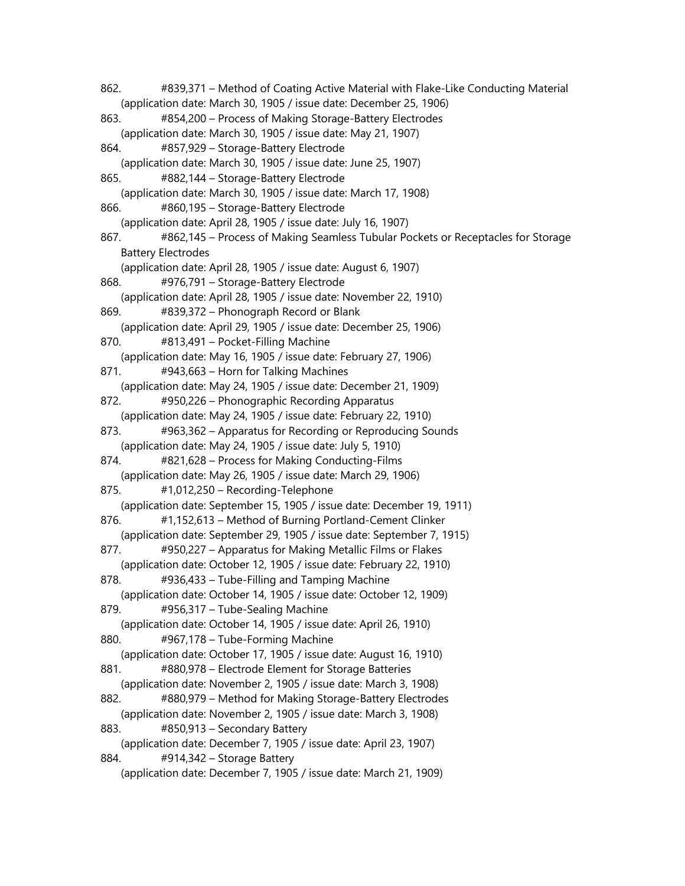862. #839,371 – Method of Coating Active Material with Flake-Like Conducting Material (application date: March 30, 1905 / issue date: December 25, 1906) 863. #854,200 – Process of Making Storage-Battery Electrodes (application date: March 30, 1905 / issue date: May 21, 1907) 864. #857,929 – Storage-Battery Electrode (application date: March 30, 1905 / issue date: June 25, 1907) 865. #882,144 – Storage-Battery Electrode (application date: March 30, 1905 / issue date: March 17, 1908) 866. #860,195 – Storage-Battery Electrode (application date: April 28, 1905 / issue date: July 16, 1907) 867. #862,145 – Process of Making Seamless Tubular Pockets or Receptacles for Storage Battery Electrodes (application date: April 28, 1905 / issue date: August 6, 1907) 868. #976,791 – Storage-Battery Electrode (application date: April 28, 1905 / issue date: November 22, 1910) 869. #839,372 – Phonograph Record or Blank (application date: April 29, 1905 / issue date: December 25, 1906) 870. #813,491 – Pocket-Filling Machine (application date: May 16, 1905 / issue date: February 27, 1906) 871. #943,663 – Horn for Talking Machines (application date: May 24, 1905 / issue date: December 21, 1909) 872. #950,226 – Phonographic Recording Apparatus (application date: May 24, 1905 / issue date: February 22, 1910) 873. #963,362 – Apparatus for Recording or Reproducing Sounds (application date: May 24, 1905 / issue date: July 5, 1910) 874. #821,628 – Process for Making Conducting-Films (application date: May 26, 1905 / issue date: March 29, 1906) 875. #1,012,250 – Recording-Telephone (application date: September 15, 1905 / issue date: December 19, 1911) 876. #1,152,613 – Method of Burning Portland-Cement Clinker (application date: September 29, 1905 / issue date: September 7, 1915) 877. #950,227 – Apparatus for Making Metallic Films or Flakes (application date: October 12, 1905 / issue date: February 22, 1910) 878. #936,433 – Tube-Filling and Tamping Machine (application date: October 14, 1905 / issue date: October 12, 1909) 879. #956,317 – Tube-Sealing Machine (application date: October 14, 1905 / issue date: April 26, 1910) 880. #967,178 – Tube-Forming Machine (application date: October 17, 1905 / issue date: August 16, 1910) 881. #880,978 – Electrode Element for Storage Batteries (application date: November 2, 1905 / issue date: March 3, 1908) 882. #880,979 – Method for Making Storage-Battery Electrodes (application date: November 2, 1905 / issue date: March 3, 1908) 883. #850,913 – Secondary Battery (application date: December 7, 1905 / issue date: April 23, 1907) 884. #914,342 – Storage Battery (application date: December 7, 1905 / issue date: March 21, 1909)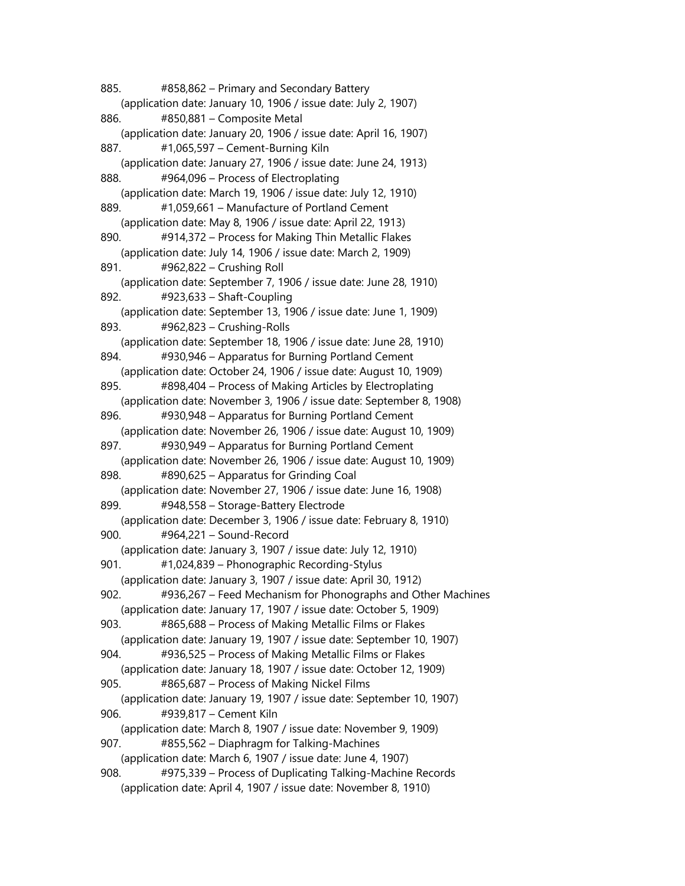885. #858,862 – Primary and Secondary Battery (application date: January 10, 1906 / issue date: July 2, 1907) 886. #850,881 – Composite Metal (application date: January 20, 1906 / issue date: April 16, 1907) 887. #1,065,597 – Cement-Burning Kiln (application date: January 27, 1906 / issue date: June 24, 1913) 888. #964,096 – Process of Electroplating (application date: March 19, 1906 / issue date: July 12, 1910) 889. #1,059,661 – Manufacture of Portland Cement (application date: May 8, 1906 / issue date: April 22, 1913) 890. #914,372 – Process for Making Thin Metallic Flakes (application date: July 14, 1906 / issue date: March 2, 1909) 891. #962,822 – Crushing Roll (application date: September 7, 1906 / issue date: June 28, 1910) 892. #923,633 – Shaft-Coupling (application date: September 13, 1906 / issue date: June 1, 1909) 893. #962,823 – Crushing-Rolls (application date: September 18, 1906 / issue date: June 28, 1910) 894. #930,946 – Apparatus for Burning Portland Cement (application date: October 24, 1906 / issue date: August 10, 1909) 895. #898,404 – Process of Making Articles by Electroplating (application date: November 3, 1906 / issue date: September 8, 1908) 896. #930,948 – Apparatus for Burning Portland Cement (application date: November 26, 1906 / issue date: August 10, 1909) 897. #930,949 – Apparatus for Burning Portland Cement (application date: November 26, 1906 / issue date: August 10, 1909) 898. #890,625 – Apparatus for Grinding Coal (application date: November 27, 1906 / issue date: June 16, 1908) 899. #948,558 – Storage-Battery Electrode (application date: December 3, 1906 / issue date: February 8, 1910) 900. #964,221 – Sound-Record (application date: January 3, 1907 / issue date: July 12, 1910) 901. #1,024,839 – Phonographic Recording-Stylus (application date: January 3, 1907 / issue date: April 30, 1912) 902. #936,267 – Feed Mechanism for Phonographs and Other Machines (application date: January 17, 1907 / issue date: October 5, 1909) 903. #865,688 – Process of Making Metallic Films or Flakes (application date: January 19, 1907 / issue date: September 10, 1907) 904. #936,525 – Process of Making Metallic Films or Flakes (application date: January 18, 1907 / issue date: October 12, 1909) 905. #865,687 – Process of Making Nickel Films (application date: January 19, 1907 / issue date: September 10, 1907) 906. #939,817 – Cement Kiln (application date: March 8, 1907 / issue date: November 9, 1909) 907. #855,562 – Diaphragm for Talking-Machines (application date: March 6, 1907 / issue date: June 4, 1907) 908. #975,339 – Process of Duplicating Talking-Machine Records (application date: April 4, 1907 / issue date: November 8, 1910)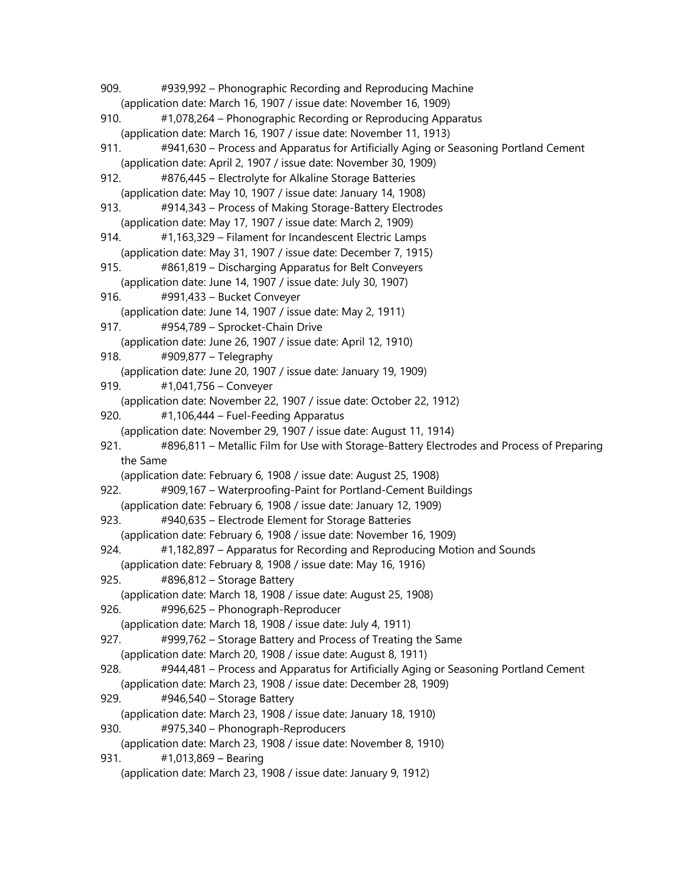909. #939,992 – Phonographic Recording and Reproducing Machine (application date: March 16, 1907 / issue date: November 16, 1909) 910. #1,078,264 – Phonographic Recording or Reproducing Apparatus (application date: March 16, 1907 / issue date: November 11, 1913) 911. #941,630 – Process and Apparatus for Artificially Aging or Seasoning Portland Cement (application date: April 2, 1907 / issue date: November 30, 1909) 912. #876,445 – Electrolyte for Alkaline Storage Batteries (application date: May 10, 1907 / issue date: January 14, 1908) 913. #914,343 – Process of Making Storage-Battery Electrodes (application date: May 17, 1907 / issue date: March 2, 1909) 914. #1,163,329 – Filament for Incandescent Electric Lamps (application date: May 31, 1907 / issue date: December 7, 1915) 915. #861,819 – Discharging Apparatus for Belt Conveyers (application date: June 14, 1907 / issue date: July 30, 1907) 916. #991,433 – Bucket Conveyer (application date: June 14, 1907 / issue date: May 2, 1911) 917. #954,789 – Sprocket-Chain Drive (application date: June 26, 1907 / issue date: April 12, 1910) 918. #909,877 – Telegraphy (application date: June 20, 1907 / issue date: January 19, 1909) 919. #1,041,756 – Conveyer (application date: November 22, 1907 / issue date: October 22, 1912) 920. #1,106,444 – Fuel-Feeding Apparatus (application date: November 29, 1907 / issue date: August 11, 1914) 921. #896,811 – Metallic Film for Use with Storage-Battery Electrodes and Process of Preparing the Same (application date: February 6, 1908 / issue date: August 25, 1908) 922. #909,167 – Waterproofing-Paint for Portland-Cement Buildings (application date: February 6, 1908 / issue date: January 12, 1909) 923. #940,635 – Electrode Element for Storage Batteries (application date: February 6, 1908 / issue date: November 16, 1909) 924. #1,182,897 – Apparatus for Recording and Reproducing Motion and Sounds (application date: February 8, 1908 / issue date: May 16, 1916) 925. #896,812 – Storage Battery (application date: March 18, 1908 / issue date: August 25, 1908) 926. #996,625 – Phonograph-Reproducer (application date: March 18, 1908 / issue date: July 4, 1911) 927. #999,762 – Storage Battery and Process of Treating the Same (application date: March 20, 1908 / issue date: August 8, 1911) 928. #944,481 – Process and Apparatus for Artificially Aging or Seasoning Portland Cement (application date: March 23, 1908 / issue date: December 28, 1909) 929. #946,540 – Storage Battery (application date: March 23, 1908 / issue date: January 18, 1910) 930. #975,340 – Phonograph-Reproducers (application date: March 23, 1908 / issue date: November 8, 1910) 931. #1,013,869 – Bearing (application date: March 23, 1908 / issue date: January 9, 1912)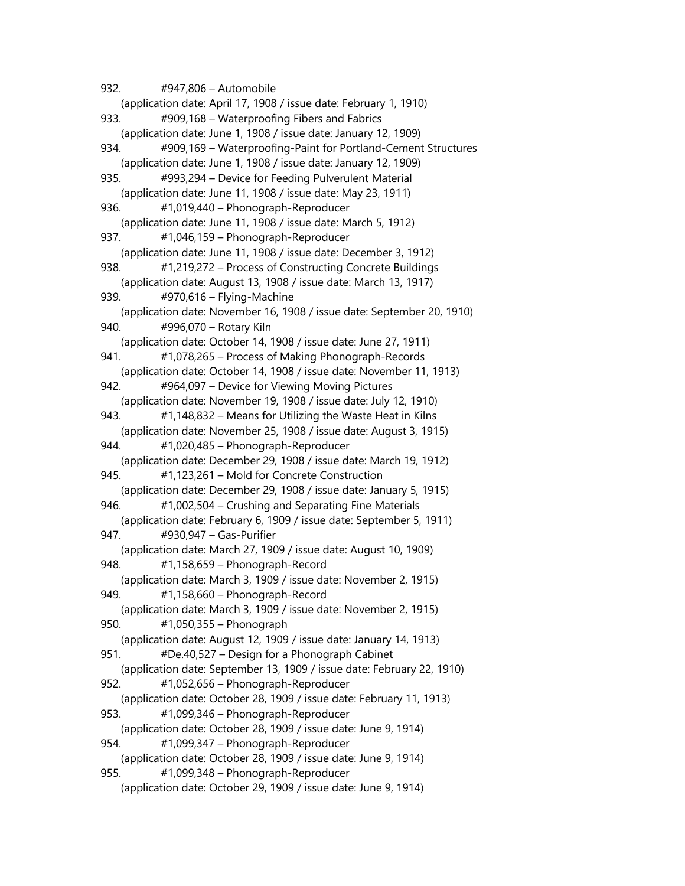932. #947,806 – Automobile (application date: April 17, 1908 / issue date: February 1, 1910) 933. #909,168 – Waterproofing Fibers and Fabrics (application date: June 1, 1908 / issue date: January 12, 1909) 934. #909,169 – Waterproofing-Paint for Portland-Cement Structures (application date: June 1, 1908 / issue date: January 12, 1909) 935. #993,294 – Device for Feeding Pulverulent Material (application date: June 11, 1908 / issue date: May 23, 1911) 936. #1,019,440 – Phonograph-Reproducer (application date: June 11, 1908 / issue date: March 5, 1912) 937. #1,046,159 – Phonograph-Reproducer (application date: June 11, 1908 / issue date: December 3, 1912) 938. #1,219,272 – Process of Constructing Concrete Buildings (application date: August 13, 1908 / issue date: March 13, 1917) 939. #970,616 – Flying-Machine (application date: November 16, 1908 / issue date: September 20, 1910) 940. #996,070 – Rotary Kiln (application date: October 14, 1908 / issue date: June 27, 1911) 941. #1,078,265 – Process of Making Phonograph-Records (application date: October 14, 1908 / issue date: November 11, 1913) 942. #964,097 – Device for Viewing Moving Pictures (application date: November 19, 1908 / issue date: July 12, 1910) 943. #1,148,832 – Means for Utilizing the Waste Heat in Kilns (application date: November 25, 1908 / issue date: August 3, 1915) 944. #1,020,485 – Phonograph-Reproducer (application date: December 29, 1908 / issue date: March 19, 1912) 945. #1,123,261 – Mold for Concrete Construction (application date: December 29, 1908 / issue date: January 5, 1915) 946. #1,002,504 – Crushing and Separating Fine Materials (application date: February 6, 1909 / issue date: September 5, 1911) 947. #930,947 – Gas-Purifier (application date: March 27, 1909 / issue date: August 10, 1909) 948. #1,158,659 – Phonograph-Record (application date: March 3, 1909 / issue date: November 2, 1915) 949. #1,158,660 – Phonograph-Record (application date: March 3, 1909 / issue date: November 2, 1915) 950. #1,050,355 – Phonograph (application date: August 12, 1909 / issue date: January 14, 1913) 951. #De.40,527 – Design for a Phonograph Cabinet (application date: September 13, 1909 / issue date: February 22, 1910) 952. #1,052,656 – Phonograph-Reproducer (application date: October 28, 1909 / issue date: February 11, 1913) 953. #1,099,346 – Phonograph-Reproducer (application date: October 28, 1909 / issue date: June 9, 1914) 954. #1,099,347 – Phonograph-Reproducer (application date: October 28, 1909 / issue date: June 9, 1914) 955. #1,099,348 – Phonograph-Reproducer (application date: October 29, 1909 / issue date: June 9, 1914)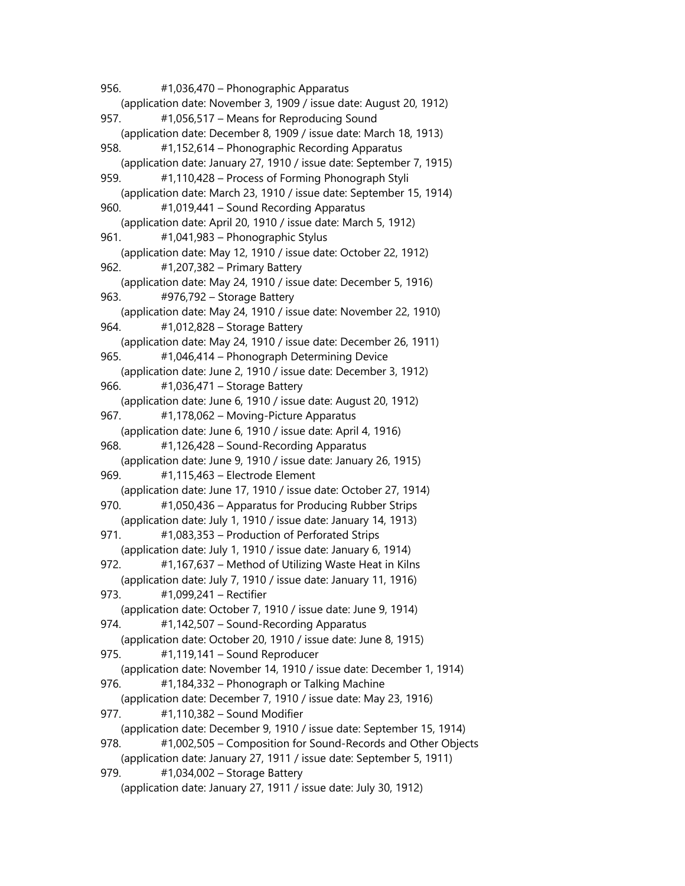956. #1,036,470 – Phonographic Apparatus (application date: November 3, 1909 / issue date: August 20, 1912) 957. #1,056,517 – Means for Reproducing Sound (application date: December 8, 1909 / issue date: March 18, 1913) 958. #1,152,614 – Phonographic Recording Apparatus (application date: January 27, 1910 / issue date: September 7, 1915) 959. #1,110,428 – Process of Forming Phonograph Styli (application date: March 23, 1910 / issue date: September 15, 1914) 960. #1,019,441 – Sound Recording Apparatus (application date: April 20, 1910 / issue date: March 5, 1912) 961. #1,041,983 – Phonographic Stylus (application date: May 12, 1910 / issue date: October 22, 1912) 962. #1,207,382 – Primary Battery (application date: May 24, 1910 / issue date: December 5, 1916) 963. #976,792 – Storage Battery (application date: May 24, 1910 / issue date: November 22, 1910) 964. #1,012,828 – Storage Battery (application date: May 24, 1910 / issue date: December 26, 1911) 965. #1,046,414 – Phonograph Determining Device (application date: June 2, 1910 / issue date: December 3, 1912) 966. #1,036,471 – Storage Battery (application date: June 6, 1910 / issue date: August 20, 1912) 967. #1,178,062 – Moving-Picture Apparatus (application date: June 6, 1910 / issue date: April 4, 1916) 968. #1,126,428 – Sound-Recording Apparatus (application date: June 9, 1910 / issue date: January 26, 1915) 969. #1,115,463 – Electrode Element (application date: June 17, 1910 / issue date: October 27, 1914) 970. #1,050,436 – Apparatus for Producing Rubber Strips (application date: July 1, 1910 / issue date: January 14, 1913) 971. #1,083,353 – Production of Perforated Strips (application date: July 1, 1910 / issue date: January 6, 1914) 972. #1,167,637 – Method of Utilizing Waste Heat in Kilns (application date: July 7, 1910 / issue date: January 11, 1916) 973. #1,099,241 – Rectifier (application date: October 7, 1910 / issue date: June 9, 1914) 974. #1,142,507 – Sound-Recording Apparatus (application date: October 20, 1910 / issue date: June 8, 1915) 975. #1,119,141 – Sound Reproducer (application date: November 14, 1910 / issue date: December 1, 1914) 976. #1,184,332 – Phonograph or Talking Machine (application date: December 7, 1910 / issue date: May 23, 1916) 977. #1,110,382 – Sound Modifier (application date: December 9, 1910 / issue date: September 15, 1914) 978. #1,002,505 – Composition for Sound-Records and Other Objects (application date: January 27, 1911 / issue date: September 5, 1911) 979. #1,034,002 – Storage Battery (application date: January 27, 1911 / issue date: July 30, 1912)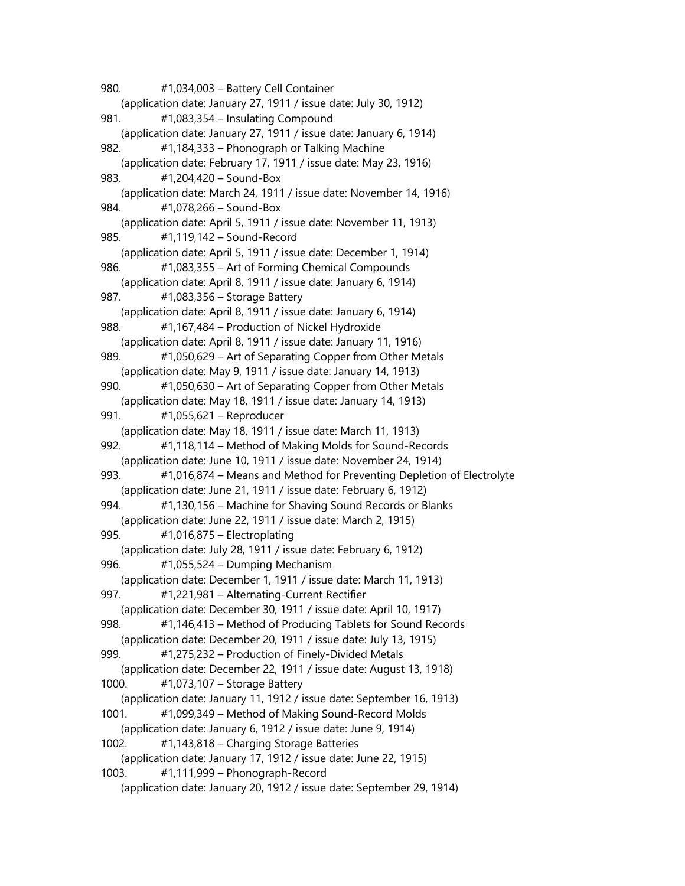980. #1,034,003 – Battery Cell Container (application date: January 27, 1911 / issue date: July 30, 1912) 981. #1,083,354 – Insulating Compound (application date: January 27, 1911 / issue date: January 6, 1914) 982. #1,184,333 – Phonograph or Talking Machine (application date: February 17, 1911 / issue date: May 23, 1916) 983. #1,204,420 – Sound-Box (application date: March 24, 1911 / issue date: November 14, 1916) 984. #1,078,266 – Sound-Box (application date: April 5, 1911 / issue date: November 11, 1913) 985. #1,119,142 – Sound-Record (application date: April 5, 1911 / issue date: December 1, 1914) 986. #1,083,355 – Art of Forming Chemical Compounds (application date: April 8, 1911 / issue date: January 6, 1914) 987. #1,083,356 – Storage Battery (application date: April 8, 1911 / issue date: January 6, 1914) 988. #1,167,484 – Production of Nickel Hydroxide (application date: April 8, 1911 / issue date: January 11, 1916) 989. #1,050,629 – Art of Separating Copper from Other Metals (application date: May 9, 1911 / issue date: January 14, 1913) 990. #1,050,630 – Art of Separating Copper from Other Metals (application date: May 18, 1911 / issue date: January 14, 1913) 991. #1,055,621 – Reproducer (application date: May 18, 1911 / issue date: March 11, 1913) 992. #1,118,114 – Method of Making Molds for Sound-Records (application date: June 10, 1911 / issue date: November 24, 1914) 993. #1,016,874 – Means and Method for Preventing Depletion of Electrolyte (application date: June 21, 1911 / issue date: February 6, 1912) 994. #1,130,156 – Machine for Shaving Sound Records or Blanks (application date: June 22, 1911 / issue date: March 2, 1915) 995. #1,016,875 – Electroplating (application date: July 28, 1911 / issue date: February 6, 1912) 996. #1,055,524 – Dumping Mechanism (application date: December 1, 1911 / issue date: March 11, 1913) 997. #1,221,981 – Alternating-Current Rectifier (application date: December 30, 1911 / issue date: April 10, 1917) 998. #1,146,413 – Method of Producing Tablets for Sound Records (application date: December 20, 1911 / issue date: July 13, 1915) 999. #1,275,232 – Production of Finely-Divided Metals (application date: December 22, 1911 / issue date: August 13, 1918) 1000. #1,073,107 – Storage Battery (application date: January 11, 1912 / issue date: September 16, 1913) 1001. #1,099,349 – Method of Making Sound-Record Molds (application date: January 6, 1912 / issue date: June 9, 1914) 1002. #1,143,818 – Charging Storage Batteries (application date: January 17, 1912 / issue date: June 22, 1915) 1003. #1,111,999 – Phonograph-Record (application date: January 20, 1912 / issue date: September 29, 1914)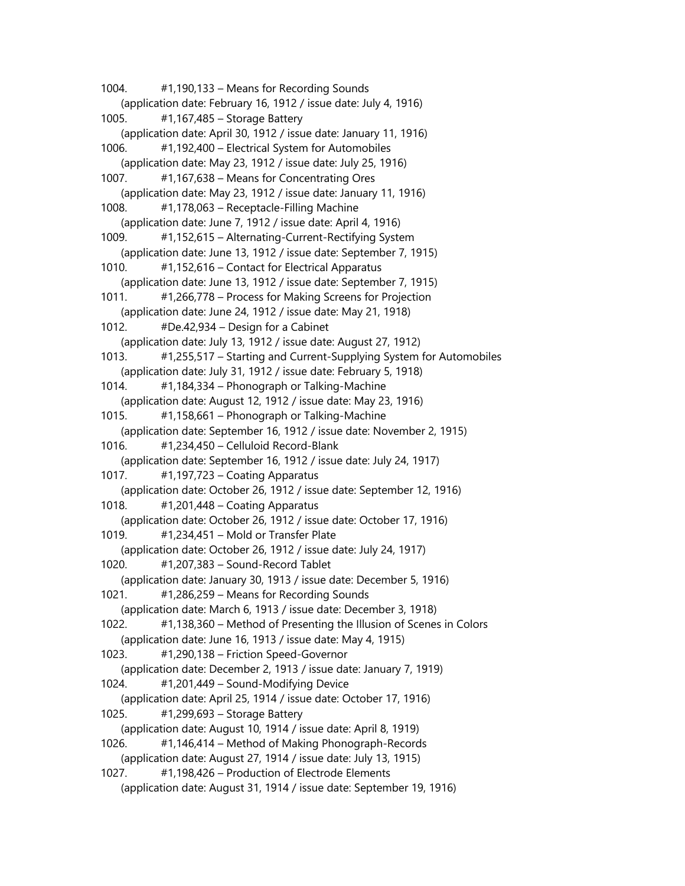1004. #1,190,133 – Means for Recording Sounds (application date: February 16, 1912 / issue date: July 4, 1916) 1005. #1,167,485 – Storage Battery (application date: April 30, 1912 / issue date: January 11, 1916) 1006. #1,192,400 – Electrical System for Automobiles (application date: May 23, 1912 / issue date: July 25, 1916) 1007. #1,167,638 – Means for Concentrating Ores (application date: May 23, 1912 / issue date: January 11, 1916) 1008. #1,178,063 – Receptacle-Filling Machine (application date: June 7, 1912 / issue date: April 4, 1916) 1009. #1,152,615 – Alternating-Current-Rectifying System (application date: June 13, 1912 / issue date: September 7, 1915) 1010. #1,152,616 – Contact for Electrical Apparatus (application date: June 13, 1912 / issue date: September 7, 1915) 1011. #1,266,778 – Process for Making Screens for Projection (application date: June 24, 1912 / issue date: May 21, 1918) 1012. #De.42,934 – Design for a Cabinet (application date: July 13, 1912 / issue date: August 27, 1912) 1013. #1,255,517 – Starting and Current-Supplying System for Automobiles (application date: July 31, 1912 / issue date: February 5, 1918) 1014. #1,184,334 – Phonograph or Talking-Machine (application date: August 12, 1912 / issue date: May 23, 1916) 1015. #1,158,661 – Phonograph or Talking-Machine (application date: September 16, 1912 / issue date: November 2, 1915) 1016. #1,234,450 – Celluloid Record-Blank (application date: September 16, 1912 / issue date: July 24, 1917) 1017. #1,197,723 – Coating Apparatus (application date: October 26, 1912 / issue date: September 12, 1916) 1018. #1,201,448 – Coating Apparatus (application date: October 26, 1912 / issue date: October 17, 1916) 1019. #1,234,451 – Mold or Transfer Plate (application date: October 26, 1912 / issue date: July 24, 1917) 1020. #1,207,383 – Sound-Record Tablet (application date: January 30, 1913 / issue date: December 5, 1916) 1021. #1,286,259 – Means for Recording Sounds (application date: March 6, 1913 / issue date: December 3, 1918) 1022. #1,138,360 – Method of Presenting the Illusion of Scenes in Colors (application date: June 16, 1913 / issue date: May 4, 1915) 1023. #1,290,138 – Friction Speed-Governor (application date: December 2, 1913 / issue date: January 7, 1919) 1024. #1,201,449 – Sound-Modifying Device (application date: April 25, 1914 / issue date: October 17, 1916) 1025. #1,299,693 – Storage Battery (application date: August 10, 1914 / issue date: April 8, 1919) 1026. #1,146,414 – Method of Making Phonograph-Records (application date: August 27, 1914 / issue date: July 13, 1915) 1027. #1,198,426 – Production of Electrode Elements (application date: August 31, 1914 / issue date: September 19, 1916)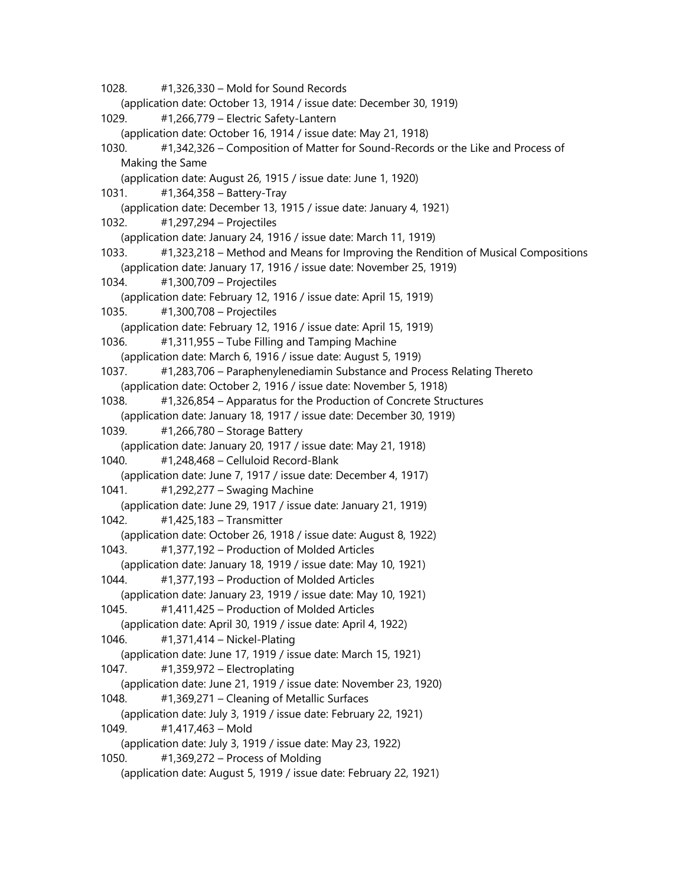1028. #1,326,330 – Mold for Sound Records (application date: October 13, 1914 / issue date: December 30, 1919) 1029. #1,266,779 – Electric Safety-Lantern (application date: October 16, 1914 / issue date: May 21, 1918) 1030. #1,342,326 – Composition of Matter for Sound-Records or the Like and Process of Making the Same (application date: August 26, 1915 / issue date: June 1, 1920) 1031. #1,364,358 – Battery-Tray (application date: December 13, 1915 / issue date: January 4, 1921) 1032. #1,297,294 – Projectiles (application date: January 24, 1916 / issue date: March 11, 1919) 1033. #1,323,218 – Method and Means for Improving the Rendition of Musical Compositions (application date: January 17, 1916 / issue date: November 25, 1919) 1034. #1,300,709 – Projectiles (application date: February 12, 1916 / issue date: April 15, 1919) 1035. #1,300,708 – Projectiles (application date: February 12, 1916 / issue date: April 15, 1919) 1036. #1,311,955 – Tube Filling and Tamping Machine (application date: March 6, 1916 / issue date: August 5, 1919) 1037. #1,283,706 – Paraphenylenediamin Substance and Process Relating Thereto (application date: October 2, 1916 / issue date: November 5, 1918) 1038. #1,326,854 – Apparatus for the Production of Concrete Structures (application date: January 18, 1917 / issue date: December 30, 1919) 1039. #1,266,780 – Storage Battery (application date: January 20, 1917 / issue date: May 21, 1918) 1040. #1,248,468 – Celluloid Record-Blank (application date: June 7, 1917 / issue date: December 4, 1917) 1041. #1,292,277 – Swaging Machine (application date: June 29, 1917 / issue date: January 21, 1919) 1042. #1,425,183 – Transmitter (application date: October 26, 1918 / issue date: August 8, 1922) 1043. #1,377,192 – Production of Molded Articles (application date: January 18, 1919 / issue date: May 10, 1921) 1044. #1,377,193 – Production of Molded Articles (application date: January 23, 1919 / issue date: May 10, 1921) 1045. #1,411,425 – Production of Molded Articles (application date: April 30, 1919 / issue date: April 4, 1922) 1046. #1,371,414 – Nickel-Plating (application date: June 17, 1919 / issue date: March 15, 1921) 1047. #1,359,972 – Electroplating (application date: June 21, 1919 / issue date: November 23, 1920) 1048. #1,369,271 – Cleaning of Metallic Surfaces (application date: July 3, 1919 / issue date: February 22, 1921) 1049. #1,417,463 – Mold (application date: July 3, 1919 / issue date: May 23, 1922) 1050. #1,369,272 – Process of Molding (application date: August 5, 1919 / issue date: February 22, 1921)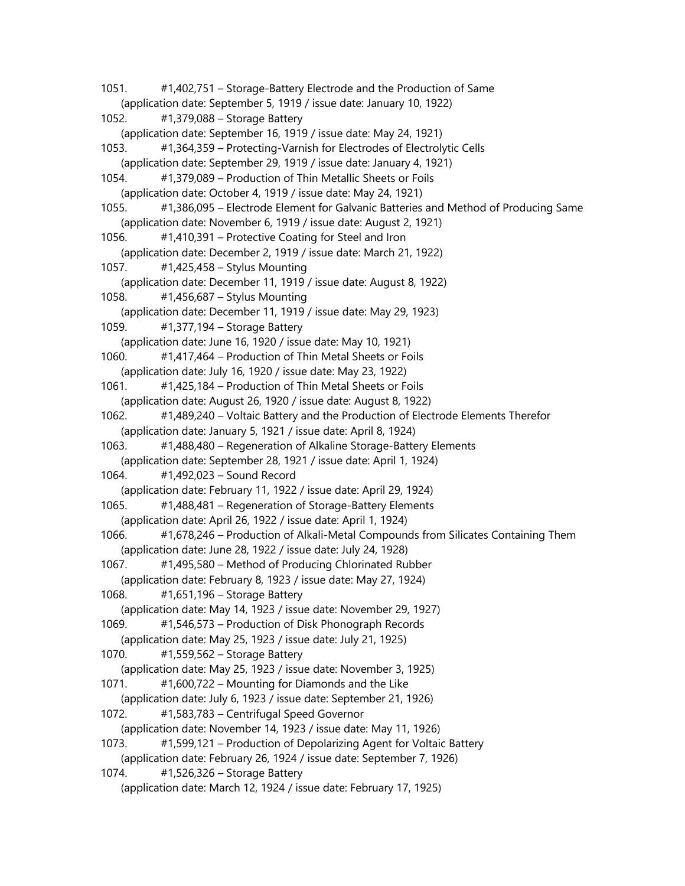1051. #1,402,751 – Storage-Battery Electrode and the Production of Same (application date: September 5, 1919 / issue date: January 10, 1922) 1052. #1,379,088 – Storage Battery (application date: September 16, 1919 / issue date: May 24, 1921) 1053. #1,364,359 – Protecting-Varnish for Electrodes of Electrolytic Cells (application date: September 29, 1919 / issue date: January 4, 1921) 1054. #1,379,089 – Production of Thin Metallic Sheets or Foils (application date: October 4, 1919 / issue date: May 24, 1921) 1055. #1,386,095 – Electrode Element for Galvanic Batteries and Method of Producing Same (application date: November 6, 1919 / issue date: August 2, 1921) 1056. #1,410,391 – Protective Coating for Steel and Iron (application date: December 2, 1919 / issue date: March 21, 1922) 1057. #1,425,458 – Stylus Mounting (application date: December 11, 1919 / issue date: August 8, 1922) 1058. #1,456,687 – Stylus Mounting (application date: December 11, 1919 / issue date: May 29, 1923) 1059. #1,377,194 – Storage Battery (application date: June 16, 1920 / issue date: May 10, 1921) 1060. #1,417,464 – Production of Thin Metal Sheets or Foils (application date: July 16, 1920 / issue date: May 23, 1922) 1061. #1,425,184 – Production of Thin Metal Sheets or Foils (application date: August 26, 1920 / issue date: August 8, 1922) 1062. #1,489,240 – Voltaic Battery and the Production of Electrode Elements Therefor (application date: January 5, 1921 / issue date: April 8, 1924) 1063. #1,488,480 – Regeneration of Alkaline Storage-Battery Elements (application date: September 28, 1921 / issue date: April 1, 1924) 1064. #1,492,023 – Sound Record (application date: February 11, 1922 / issue date: April 29, 1924) 1065. #1,488,481 – Regeneration of Storage-Battery Elements (application date: April 26, 1922 / issue date: April 1, 1924) 1066. #1,678,246 – Production of Alkali-Metal Compounds from Silicates Containing Them (application date: June 28, 1922 / issue date: July 24, 1928) 1067. #1,495,580 – Method of Producing Chlorinated Rubber (application date: February 8, 1923 / issue date: May 27, 1924) 1068. #1,651,196 – Storage Battery (application date: May 14, 1923 / issue date: November 29, 1927) 1069. #1,546,573 – Production of Disk Phonograph Records (application date: May 25, 1923 / issue date: July 21, 1925) 1070. #1,559,562 – Storage Battery (application date: May 25, 1923 / issue date: November 3, 1925) 1071. #1,600,722 – Mounting for Diamonds and the Like (application date: July 6, 1923 / issue date: September 21, 1926) 1072. #1,583,783 – Centrifugal Speed Governor (application date: November 14, 1923 / issue date: May 11, 1926) 1073. #1,599,121 – Production of Depolarizing Agent for Voltaic Battery (application date: February 26, 1924 / issue date: September 7, 1926) 1074. #1,526,326 – Storage Battery (application date: March 12, 1924 / issue date: February 17, 1925)